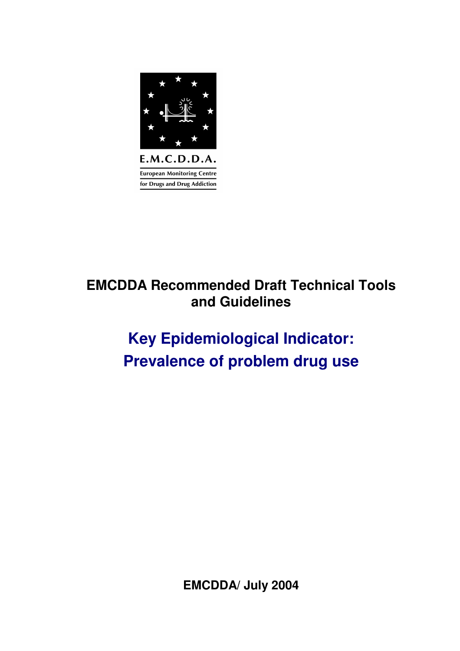

## **EMCDDA Recommended Draft Technical Tools and Guidelines**

# **Key Epidemiological Indicator: Prevalence of problem drug use**

**EMCDDA/ July 2004**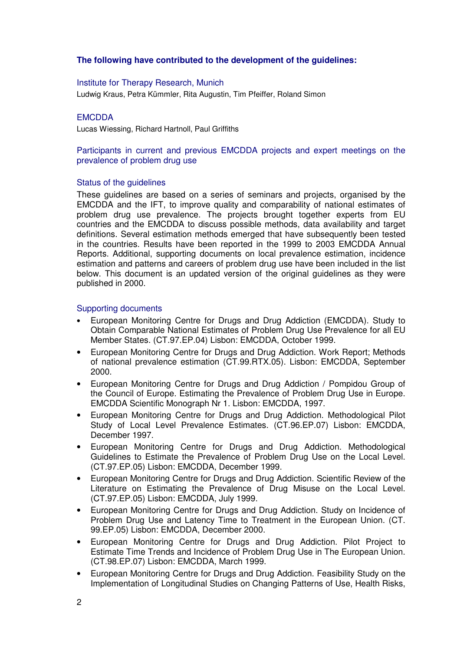## **The following have contributed to the development of the guidelines:**

#### Institute for Therapy Research, Munich

Ludwig Kraus, Petra Kümmler, Rita Augustin, Tim Pfeiffer, Roland Simon

#### **EMCDDA**

Lucas Wiessing, Richard Hartnoll, Paul Griffiths

#### Participants in current and previous EMCDDA projects and expert meetings on the prevalence of problem drug use

#### Status of the quidelines

These guidelines are based on a series of seminars and projects, organised by the EMCDDA and the IFT, to improve quality and comparability of national estimates of problem drug use prevalence. The projects brought together experts from EU countries and the EMCDDA to discuss possible methods, data availability and target definitions. Several estimation methods emerged that have subsequently been tested in the countries. Results have been reported in the 1999 to 2003 EMCDDA Annual Reports. Additional, supporting documents on local prevalence estimation, incidence estimation and patterns and careers of problem drug use have been included in the list below. This document is an updated version of the original guidelines as they were published in 2000.

#### Supporting documents

- European Monitoring Centre for Drugs and Drug Addiction (EMCDDA). Study to Obtain Comparable National Estimates of Problem Drug Use Prevalence for all EU Member States. (CT.97.EP.04) Lisbon: EMCDDA, October 1999.
- European Monitoring Centre for Drugs and Drug Addiction. Work Report; Methods of national prevalence estimation (CT.99.RTX.05). Lisbon: EMCDDA, September 2000.
- European Monitoring Centre for Drugs and Drug Addiction / Pompidou Group of the Council of Europe. Estimating the Prevalence of Problem Drug Use in Europe. EMCDDA Scientific Monograph Nr 1. Lisbon: EMCDDA, 1997.
- European Monitoring Centre for Drugs and Drug Addiction. Methodological Pilot Study of Local Level Prevalence Estimates. (CT.96.EP.07) Lisbon: EMCDDA, December 1997.
- European Monitoring Centre for Drugs and Drug Addiction. Methodological Guidelines to Estimate the Prevalence of Problem Drug Use on the Local Level. (CT.97.EP.05) Lisbon: EMCDDA, December 1999.
- European Monitoring Centre for Drugs and Drug Addiction. Scientific Review of the Literature on Estimating the Prevalence of Drug Misuse on the Local Level. (CT.97.EP.05) Lisbon: EMCDDA, July 1999.
- European Monitoring Centre for Drugs and Drug Addiction. Study on Incidence of Problem Drug Use and Latency Time to Treatment in the European Union. (CT. 99.EP.05) Lisbon: EMCDDA, December 2000.
- European Monitoring Centre for Drugs and Drug Addiction. Pilot Project to Estimate Time Trends and Incidence of Problem Drug Use in The European Union. (CT.98.EP.07) Lisbon: EMCDDA, March 1999.
- European Monitoring Centre for Drugs and Drug Addiction. Feasibility Study on the Implementation of Longitudinal Studies on Changing Patterns of Use, Health Risks,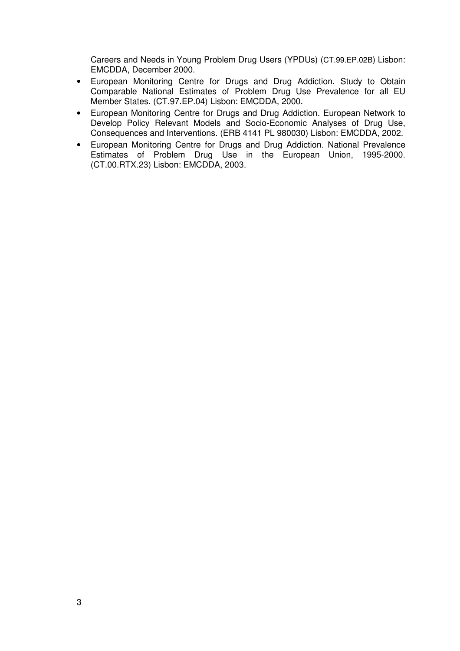Careers and Needs in Young Problem Drug Users (YPDUs) (CT.99.EP.02B) Lisbon: EMCDDA, December 2000.

- European Monitoring Centre for Drugs and Drug Addiction. Study to Obtain Comparable National Estimates of Problem Drug Use Prevalence for all EU Member States. (CT.97.EP.04) Lisbon: EMCDDA, 2000.
- European Monitoring Centre for Drugs and Drug Addiction. European Network to Develop Policy Relevant Models and Socio-Economic Analyses of Drug Use, Consequences and Interventions. (ERB 4141 PL 980030) Lisbon: EMCDDA, 2002.
- European Monitoring Centre for Drugs and Drug Addiction. National Prevalence Estimates of Problem Drug Use in the European Union, 1995-2000. (CT.00.RTX.23) Lisbon: EMCDDA, 2003.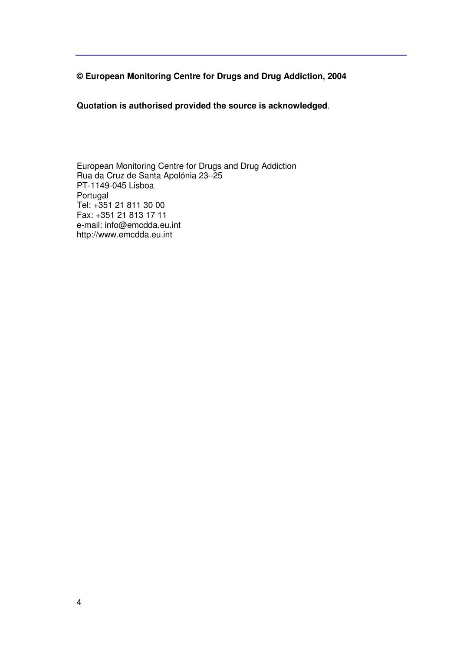**© European Monitoring Centre for Drugs and Drug Addiction, 2004** 

**Quotation is authorised provided the source is acknowledged**.

European Monitoring Centre for Drugs and Drug Addiction Rua da Cruz de Santa Apolónia 23–25 PT-1149-045 Lisboa **Portugal** Tel: +351 21 811 30 00 Fax: +351 21 813 17 11 e-mail: info@emcdda.eu.int http://www.emcdda.eu.int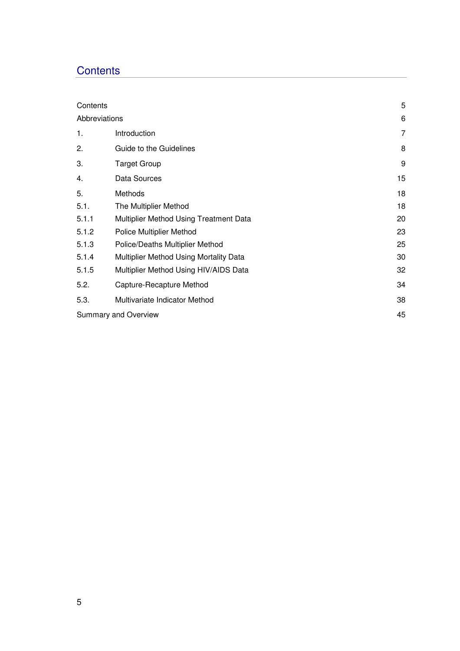## **Contents**

| Contents      |                                        | 5  |
|---------------|----------------------------------------|----|
| Abbreviations | 6                                      |    |
| 1.            | Introduction                           | 7  |
| 2.            | Guide to the Guidelines                | 8  |
| 3.            | <b>Target Group</b>                    | 9  |
| 4.            | Data Sources                           | 15 |
| 5.            | Methods                                | 18 |
| 5.1.          | The Multiplier Method                  | 18 |
| 5.1.1         | Multiplier Method Using Treatment Data | 20 |
| 5.1.2         | <b>Police Multiplier Method</b>        | 23 |
| 5.1.3         | Police/Deaths Multiplier Method        | 25 |
| 5.1.4         | Multiplier Method Using Mortality Data | 30 |
| 5.1.5         | Multiplier Method Using HIV/AIDS Data  | 32 |
| 5.2.          | Capture-Recapture Method               | 34 |
| 5.3.          | Multivariate Indicator Method          | 38 |
|               | Summary and Overview                   | 45 |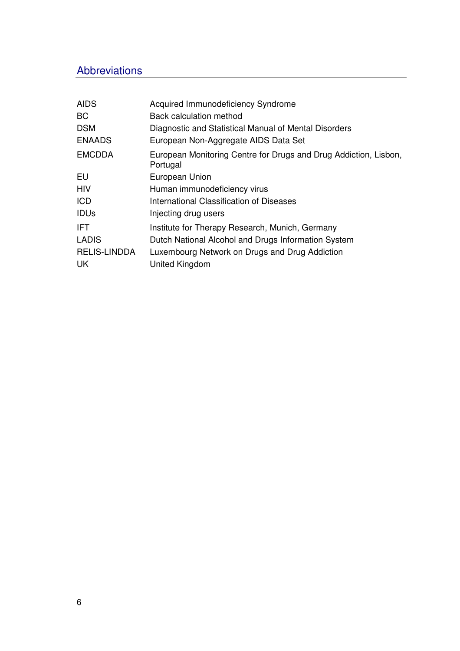## Abbreviations

| <b>AIDS</b>         | Acquired Immunodeficiency Syndrome                                           |
|---------------------|------------------------------------------------------------------------------|
| BC.                 | <b>Back calculation method</b>                                               |
| <b>DSM</b>          | Diagnostic and Statistical Manual of Mental Disorders                        |
| <b>ENAADS</b>       | European Non-Aggregate AIDS Data Set                                         |
| <b>EMCDDA</b>       | European Monitoring Centre for Drugs and Drug Addiction, Lisbon,<br>Portugal |
| EU                  | European Union                                                               |
| <b>HIV</b>          | Human immunodeficiency virus                                                 |
| <b>ICD</b>          | International Classification of Diseases                                     |
| <b>IDUs</b>         | Injecting drug users                                                         |
| IFT.                | Institute for Therapy Research, Munich, Germany                              |
| <b>LADIS</b>        | Dutch National Alcohol and Drugs Information System                          |
| <b>RELIS-LINDDA</b> | Luxembourg Network on Drugs and Drug Addiction                               |
| <b>UK</b>           | United Kingdom                                                               |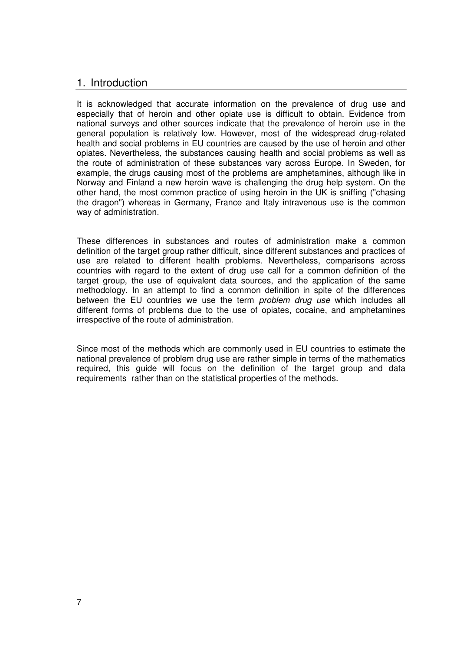## 1. Introduction

It is acknowledged that accurate information on the prevalence of drug use and especially that of heroin and other opiate use is difficult to obtain. Evidence from national surveys and other sources indicate that the prevalence of heroin use in the general population is relatively low. However, most of the widespread drug-related health and social problems in EU countries are caused by the use of heroin and other opiates. Nevertheless, the substances causing health and social problems as well as the route of administration of these substances vary across Europe. In Sweden, for example, the drugs causing most of the problems are amphetamines, although like in Norway and Finland a new heroin wave is challenging the drug help system. On the other hand, the most common practice of using heroin in the UK is sniffing ("chasing the dragon") whereas in Germany, France and Italy intravenous use is the common way of administration.

These differences in substances and routes of administration make a common definition of the target group rather difficult, since different substances and practices of use are related to different health problems. Nevertheless, comparisons across countries with regard to the extent of drug use call for a common definition of the target group, the use of equivalent data sources, and the application of the same methodology. In an attempt to find a common definition in spite of the differences between the EU countries we use the term *problem drug use* which includes all different forms of problems due to the use of opiates, cocaine, and amphetamines irrespective of the route of administration.

Since most of the methods which are commonly used in EU countries to estimate the national prevalence of problem drug use are rather simple in terms of the mathematics required, this guide will focus on the definition of the target group and data requirements rather than on the statistical properties of the methods.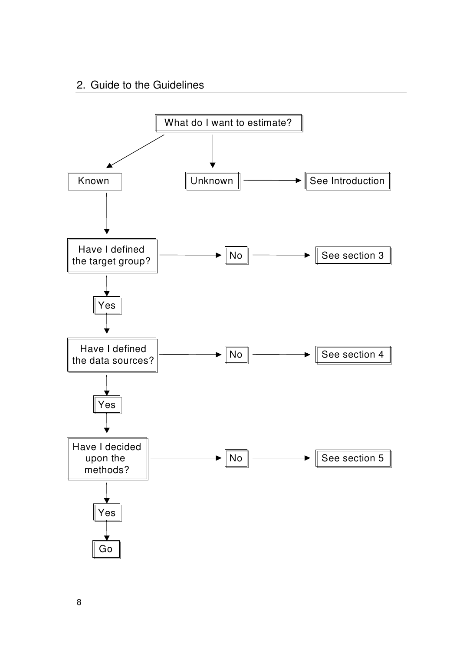## 2. Guide to the Guidelines

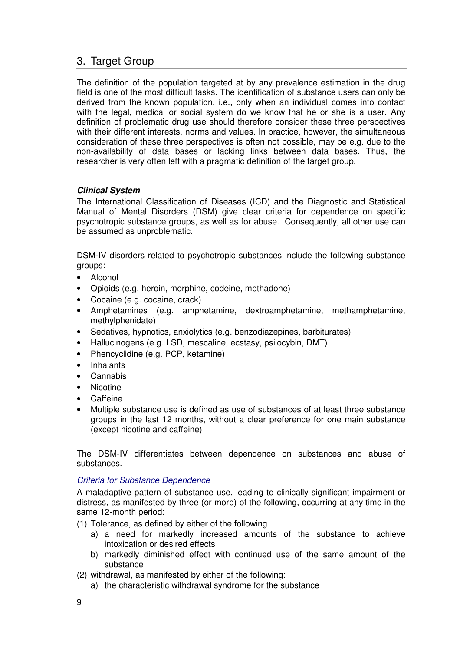## 3. Target Group

The definition of the population targeted at by any prevalence estimation in the drug field is one of the most difficult tasks. The identification of substance users can only be derived from the known population, i.e., only when an individual comes into contact with the legal, medical or social system do we know that he or she is a user. Any definition of problematic drug use should therefore consider these three perspectives with their different interests, norms and values. In practice, however, the simultaneous consideration of these three perspectives is often not possible, may be e.g. due to the non-availability of data bases or lacking links between data bases. Thus, the researcher is very often left with a pragmatic definition of the target group.

## **Clinical System**

The International Classification of Diseases (ICD) and the Diagnostic and Statistical Manual of Mental Disorders (DSM) give clear criteria for dependence on specific psychotropic substance groups, as well as for abuse. Consequently, all other use can be assumed as unproblematic.

DSM-IV disorders related to psychotropic substances include the following substance groups:

- Alcohol
- Opioids (e.g. heroin, morphine, codeine, methadone)
- Cocaine (e.g. cocaine, crack)
- Amphetamines (e.g. amphetamine, dextroamphetamine, methamphetamine, methylphenidate)
- Sedatives, hypnotics, anxiolytics (e.g. benzodiazepines, barbiturates)
- Hallucinogens (e.g. LSD, mescaline, ecstasy, psilocybin, DMT)
- Phencyclidine (e.g. PCP, ketamine)
- Inhalants
- Cannabis
- Nicotine
- Caffeine
- Multiple substance use is defined as use of substances of at least three substance groups in the last 12 months, without a clear preference for one main substance (except nicotine and caffeine)

The DSM-IV differentiates between dependence on substances and abuse of substances.

## Criteria for Substance Dependence

A maladaptive pattern of substance use, leading to clinically significant impairment or distress, as manifested by three (or more) of the following, occurring at any time in the same 12-month period:

- (1) Tolerance, as defined by either of the following
	- a) a need for markedly increased amounts of the substance to achieve intoxication or desired effects
	- b) markedly diminished effect with continued use of the same amount of the substance
- (2) withdrawal, as manifested by either of the following:
	- a) the characteristic withdrawal syndrome for the substance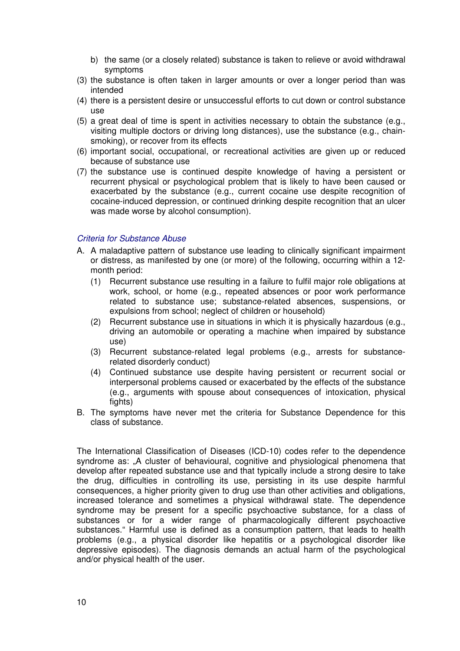- b) the same (or a closely related) substance is taken to relieve or avoid withdrawal symptoms
- (3) the substance is often taken in larger amounts or over a longer period than was intended
- (4) there is a persistent desire or unsuccessful efforts to cut down or control substance use
- (5) a great deal of time is spent in activities necessary to obtain the substance (e.g., visiting multiple doctors or driving long distances), use the substance (e.g., chainsmoking), or recover from its effects
- (6) important social, occupational, or recreational activities are given up or reduced because of substance use
- (7) the substance use is continued despite knowledge of having a persistent or recurrent physical or psychological problem that is likely to have been caused or exacerbated by the substance (e.g., current cocaine use despite recognition of cocaine-induced depression, or continued drinking despite recognition that an ulcer was made worse by alcohol consumption).

## Criteria for Substance Abuse

- A. A maladaptive pattern of substance use leading to clinically significant impairment or distress, as manifested by one (or more) of the following, occurring within a 12 month period:
	- (1) Recurrent substance use resulting in a failure to fulfil major role obligations at work, school, or home (e.g., repeated absences or poor work performance related to substance use; substance-related absences, suspensions, or expulsions from school; neglect of children or household)
	- (2) Recurrent substance use in situations in which it is physically hazardous (e.g., driving an automobile or operating a machine when impaired by substance use)
	- (3) Recurrent substance-related legal problems (e.g., arrests for substancerelated disorderly conduct)
	- (4) Continued substance use despite having persistent or recurrent social or interpersonal problems caused or exacerbated by the effects of the substance (e.g., arguments with spouse about consequences of intoxication, physical fights)
- B. The symptoms have never met the criteria for Substance Dependence for this class of substance.

The International Classification of Diseases (ICD-10) codes refer to the dependence syndrome as: "A cluster of behavioural, cognitive and physiological phenomena that develop after repeated substance use and that typically include a strong desire to take the drug, difficulties in controlling its use, persisting in its use despite harmful consequences, a higher priority given to drug use than other activities and obligations, increased tolerance and sometimes a physical withdrawal state. The dependence syndrome may be present for a specific psychoactive substance, for a class of substances or for a wider range of pharmacologically different psychoactive substances." Harmful use is defined as a consumption pattern, that leads to health problems (e.g., a physical disorder like hepatitis or a psychological disorder like depressive episodes). The diagnosis demands an actual harm of the psychological and/or physical health of the user.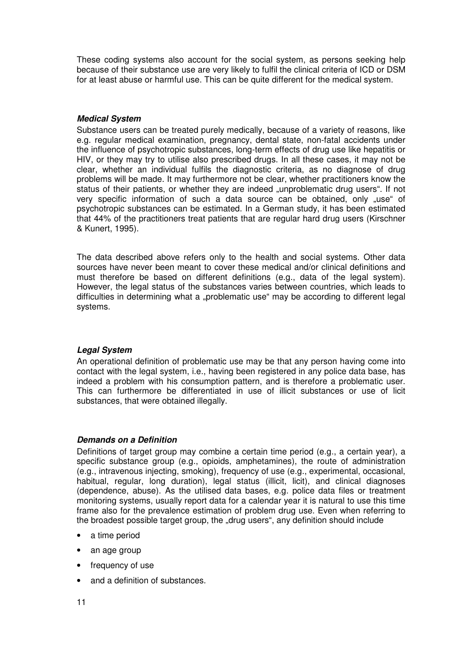These coding systems also account for the social system, as persons seeking help because of their substance use are very likely to fulfil the clinical criteria of ICD or DSM for at least abuse or harmful use. This can be quite different for the medical system.

## **Medical System**

Substance users can be treated purely medically, because of a variety of reasons, like e.g. regular medical examination, pregnancy, dental state, non-fatal accidents under the influence of psychotropic substances, long-term effects of drug use like hepatitis or HIV, or they may try to utilise also prescribed drugs. In all these cases, it may not be clear, whether an individual fulfils the diagnostic criteria, as no diagnose of drug problems will be made. It may furthermore not be clear, whether practitioners know the status of their patients, or whether they are indeed "unproblematic drug users". If not very specific information of such a data source can be obtained, only "use" of psychotropic substances can be estimated. In a German study, it has been estimated that 44% of the practitioners treat patients that are regular hard drug users (Kirschner & Kunert, 1995).

The data described above refers only to the health and social systems. Other data sources have never been meant to cover these medical and/or clinical definitions and must therefore be based on different definitions (e.g., data of the legal system). However, the legal status of the substances varies between countries, which leads to difficulties in determining what a "problematic use" may be according to different legal systems.

## **Legal System**

An operational definition of problematic use may be that any person having come into contact with the legal system, i.e., having been registered in any police data base, has indeed a problem with his consumption pattern, and is therefore a problematic user. This can furthermore be differentiated in use of illicit substances or use of licit substances, that were obtained illegally.

## **Demands on a Definition**

Definitions of target group may combine a certain time period (e.g., a certain year), a specific substance group (e.g., opioids, amphetamines), the route of administration (e.g., intravenous injecting, smoking), frequency of use (e.g., experimental, occasional, habitual, regular, long duration), legal status (illicit, licit), and clinical diagnoses (dependence, abuse). As the utilised data bases, e.g. police data files or treatment monitoring systems, usually report data for a calendar year it is natural to use this time frame also for the prevalence estimation of problem drug use. Even when referring to the broadest possible target group, the "drug users", any definition should include

- a time period
- an age group
- frequency of use
- and a definition of substances.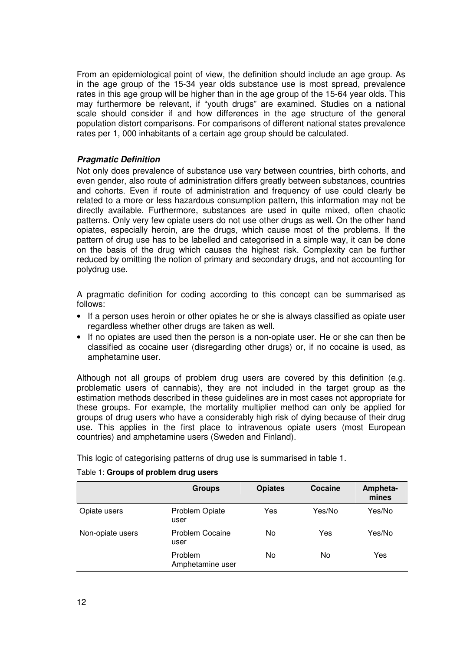From an epidemiological point of view, the definition should include an age group. As in the age group of the 15-34 year olds substance use is most spread, prevalence rates in this age group will be higher than in the age group of the 15-64 year olds. This may furthermore be relevant, if "youth drugs" are examined. Studies on a national scale should consider if and how differences in the age structure of the general population distort comparisons. For comparisons of different national states prevalence rates per 1, 000 inhabitants of a certain age group should be calculated.

## **Pragmatic Definition**

Not only does prevalence of substance use vary between countries, birth cohorts, and even gender, also route of administration differs greatly between substances, countries and cohorts. Even if route of administration and frequency of use could clearly be related to a more or less hazardous consumption pattern, this information may not be directly available. Furthermore, substances are used in quite mixed, often chaotic patterns. Only very few opiate users do not use other drugs as well. On the other hand opiates, especially heroin, are the drugs, which cause most of the problems. If the pattern of drug use has to be labelled and categorised in a simple way, it can be done on the basis of the drug which causes the highest risk. Complexity can be further reduced by omitting the notion of primary and secondary drugs, and not accounting for polydrug use.

A pragmatic definition for coding according to this concept can be summarised as follows:

- If a person uses heroin or other opiates he or she is always classified as opiate user regardless whether other drugs are taken as well.
- If no opiates are used then the person is a non-opiate user. He or she can then be classified as cocaine user (disregarding other drugs) or, if no cocaine is used, as amphetamine user.

Although not all groups of problem drug users are covered by this definition (e.g. problematic users of cannabis), they are not included in the target group as the estimation methods described in these guidelines are in most cases not appropriate for these groups. For example, the mortality multiplier method can only be applied for groups of drug users who have a considerably high risk of dying because of their drug use. This applies in the first place to intravenous opiate users (most European countries) and amphetamine users (Sweden and Finland).

This logic of categorising patterns of drug use is summarised in table 1.

|                  | <b>Groups</b>               | <b>Opiates</b> | Cocaine | Ampheta-<br>mines |
|------------------|-----------------------------|----------------|---------|-------------------|
| Opiate users     | Problem Opiate<br>user      | Yes            | Yes/No  | Yes/No            |
| Non-opiate users | Problem Cocaine<br>user     | No             | Yes     | Yes/No            |
|                  | Problem<br>Amphetamine user | No             | No      | Yes               |

#### Table 1: **Groups of problem drug users**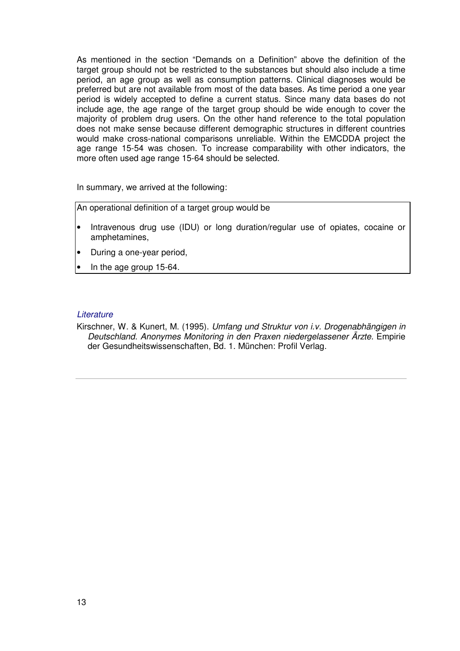As mentioned in the section "Demands on a Definition" above the definition of the target group should not be restricted to the substances but should also include a time period, an age group as well as consumption patterns. Clinical diagnoses would be preferred but are not available from most of the data bases. As time period a one year period is widely accepted to define a current status. Since many data bases do not include age, the age range of the target group should be wide enough to cover the majority of problem drug users. On the other hand reference to the total population does not make sense because different demographic structures in different countries would make cross-national comparisons unreliable. Within the EMCDDA project the age range 15-54 was chosen. To increase comparability with other indicators, the more often used age range 15-64 should be selected.

In summary, we arrived at the following:

An operational definition of a target group would be

- Intravenous drug use (IDU) or long duration/regular use of opiates, cocaine or amphetamines,
- During a one-year period,
- In the age group 15-64.

#### **Literature**

Kirschner, W. & Kunert, M. (1995). Umfang und Struktur von i.v. Drogenabhängigen in Deutschland. Anonymes Monitoring in den Praxen niedergelassener Ärzte. Empirie der Gesundheitswissenschaften, Bd. 1. München: Profil Verlag.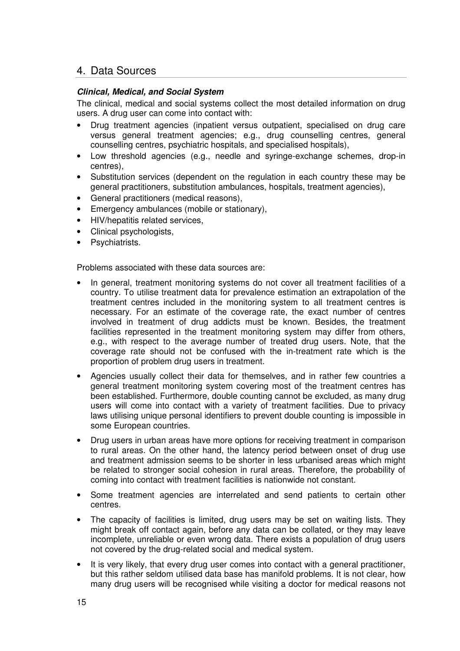## 4. Data Sources

## **Clinical, Medical, and Social System**

The clinical, medical and social systems collect the most detailed information on drug users. A drug user can come into contact with:

- Drug treatment agencies (inpatient versus outpatient, specialised on drug care versus general treatment agencies; e.g., drug counselling centres, general counselling centres, psychiatric hospitals, and specialised hospitals),
- Low threshold agencies (e.g., needle and syringe-exchange schemes, drop-in centres),
- Substitution services (dependent on the regulation in each country these may be general practitioners, substitution ambulances, hospitals, treatment agencies),
- General practitioners (medical reasons),
- Emergency ambulances (mobile or stationary),
- HIV/hepatitis related services,
- Clinical psychologists,
- Psychiatrists.

Problems associated with these data sources are:

- In general, treatment monitoring systems do not cover all treatment facilities of a country. To utilise treatment data for prevalence estimation an extrapolation of the treatment centres included in the monitoring system to all treatment centres is necessary. For an estimate of the coverage rate, the exact number of centres involved in treatment of drug addicts must be known. Besides, the treatment facilities represented in the treatment monitoring system may differ from others, e.g., with respect to the average number of treated drug users. Note, that the coverage rate should not be confused with the in-treatment rate which is the proportion of problem drug users in treatment.
- Agencies usually collect their data for themselves, and in rather few countries a general treatment monitoring system covering most of the treatment centres has been established. Furthermore, double counting cannot be excluded, as many drug users will come into contact with a variety of treatment facilities. Due to privacy laws utilising unique personal identifiers to prevent double counting is impossible in some European countries.
- Drug users in urban areas have more options for receiving treatment in comparison to rural areas. On the other hand, the latency period between onset of drug use and treatment admission seems to be shorter in less urbanised areas which might be related to stronger social cohesion in rural areas. Therefore, the probability of coming into contact with treatment facilities is nationwide not constant.
- Some treatment agencies are interrelated and send patients to certain other centres.
- The capacity of facilities is limited, drug users may be set on waiting lists. They might break off contact again, before any data can be collated, or they may leave incomplete, unreliable or even wrong data. There exists a population of drug users not covered by the drug-related social and medical system.
- It is very likely, that every drug user comes into contact with a general practitioner, but this rather seldom utilised data base has manifold problems. It is not clear, how many drug users will be recognised while visiting a doctor for medical reasons not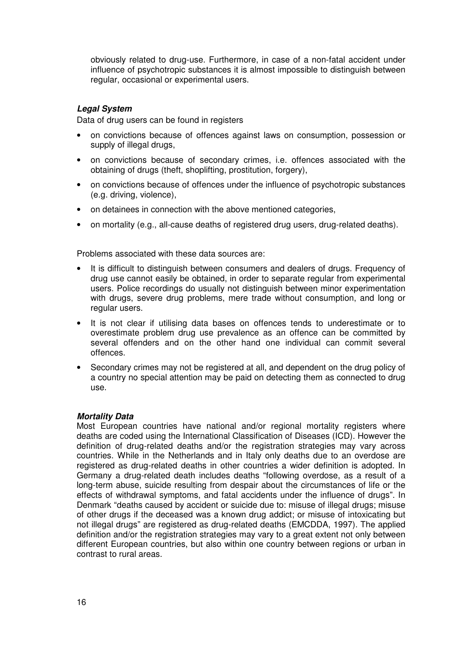obviously related to drug-use. Furthermore, in case of a non-fatal accident under influence of psychotropic substances it is almost impossible to distinguish between regular, occasional or experimental users.

## **Legal System**

Data of drug users can be found in registers

- on convictions because of offences against laws on consumption, possession or supply of illegal drugs,
- on convictions because of secondary crimes, i.e. offences associated with the obtaining of drugs (theft, shoplifting, prostitution, forgery),
- on convictions because of offences under the influence of psychotropic substances (e.g. driving, violence),
- on detainees in connection with the above mentioned categories,
- on mortality (e.g., all-cause deaths of registered drug users, drug-related deaths).

Problems associated with these data sources are:

- It is difficult to distinguish between consumers and dealers of drugs. Frequency of drug use cannot easily be obtained, in order to separate regular from experimental users. Police recordings do usually not distinguish between minor experimentation with drugs, severe drug problems, mere trade without consumption, and long or regular users.
- It is not clear if utilising data bases on offences tends to underestimate or to overestimate problem drug use prevalence as an offence can be committed by several offenders and on the other hand one individual can commit several offences.
- Secondary crimes may not be registered at all, and dependent on the drug policy of a country no special attention may be paid on detecting them as connected to drug use.

## **Mortality Data**

Most European countries have national and/or regional mortality registers where deaths are coded using the International Classification of Diseases (ICD). However the definition of drug-related deaths and/or the registration strategies may vary across countries. While in the Netherlands and in Italy only deaths due to an overdose are registered as drug-related deaths in other countries a wider definition is adopted. In Germany a drug-related death includes deaths "following overdose, as a result of a long-term abuse, suicide resulting from despair about the circumstances of life or the effects of withdrawal symptoms, and fatal accidents under the influence of drugs". In Denmark "deaths caused by accident or suicide due to: misuse of illegal drugs; misuse of other drugs if the deceased was a known drug addict; or misuse of intoxicating but not illegal drugs" are registered as drug-related deaths (EMCDDA, 1997). The applied definition and/or the registration strategies may vary to a great extent not only between different European countries, but also within one country between regions or urban in contrast to rural areas.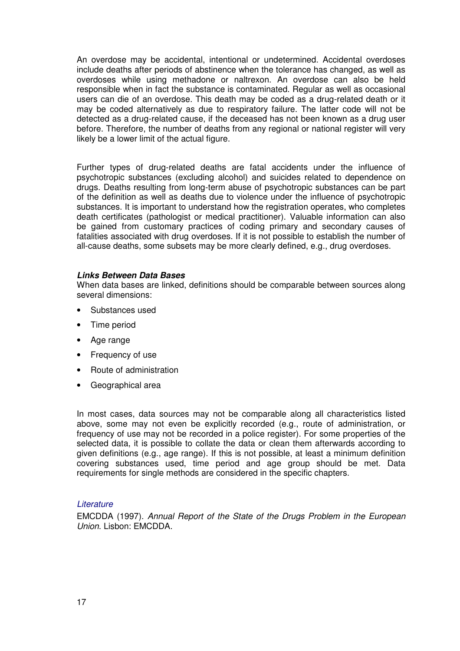An overdose may be accidental, intentional or undetermined. Accidental overdoses include deaths after periods of abstinence when the tolerance has changed, as well as overdoses while using methadone or naltrexon. An overdose can also be held responsible when in fact the substance is contaminated. Regular as well as occasional users can die of an overdose. This death may be coded as a drug-related death or it may be coded alternatively as due to respiratory failure. The latter code will not be detected as a drug-related cause, if the deceased has not been known as a drug user before. Therefore, the number of deaths from any regional or national register will very likely be a lower limit of the actual figure.

Further types of drug-related deaths are fatal accidents under the influence of psychotropic substances (excluding alcohol) and suicides related to dependence on drugs. Deaths resulting from long-term abuse of psychotropic substances can be part of the definition as well as deaths due to violence under the influence of psychotropic substances. It is important to understand how the registration operates, who completes death certificates (pathologist or medical practitioner). Valuable information can also be gained from customary practices of coding primary and secondary causes of fatalities associated with drug overdoses. If it is not possible to establish the number of all-cause deaths, some subsets may be more clearly defined, e.g., drug overdoses.

#### **Links Between Data Bases**

When data bases are linked, definitions should be comparable between sources along several dimensions:

- Substances used
- Time period
- Age range
- Frequency of use
- Route of administration
- Geographical area

In most cases, data sources may not be comparable along all characteristics listed above, some may not even be explicitly recorded (e.g., route of administration, or frequency of use may not be recorded in a police register). For some properties of the selected data, it is possible to collate the data or clean them afterwards according to given definitions (e.g., age range). If this is not possible, at least a minimum definition covering substances used, time period and age group should be met. Data requirements for single methods are considered in the specific chapters.

#### **Literature**

EMCDDA (1997). Annual Report of the State of the Drugs Problem in the European Union. Lisbon: EMCDDA.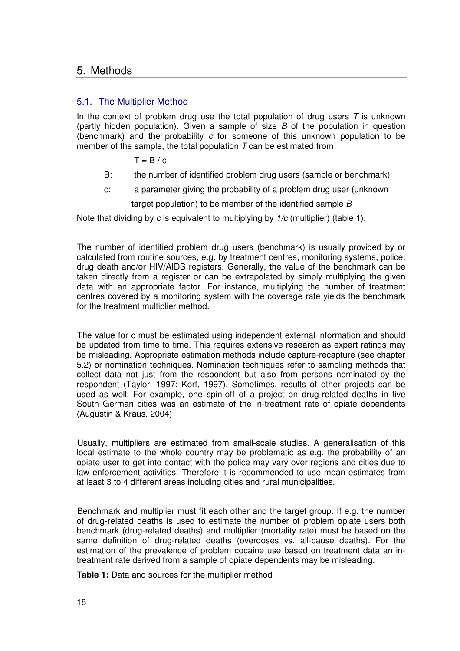## 5. Methods

## 5.1. The Multiplier Method

In the context of problem drug use the total population of drug users  $T$  is unknown (partly hidden population). Given a sample of size  $B$  of the population in question (benchmark) and the probability c for someone of this unknown population to be member of the sample, the total population  $T$  can be estimated from

 $T = B / c$ 

- B: the number of identified problem drug users (sample or benchmark)
- c: a parameter giving the probability of a problem drug user (unknown

target population) to be member of the identified sample B

Note that dividing by c is equivalent to multiplying by  $1/c$  (multiplier) (table 1).

The number of identified problem drug users (benchmark) is usually provided by or calculated from routine sources, e.g. by treatment centres, monitoring systems, police, drug death and/or HIV/AIDS registers. Generally, the value of the benchmark can be taken directly from a register or can be extrapolated by simply multiplying the given data with an appropriate factor. For instance, multiplying the number of treatment centres covered by a monitoring system with the coverage rate yields the benchmark for the treatment multiplier method.

The value for c must be estimated using independent external information and should be updated from time to time. This requires extensive research as expert ratings may be misleading. Appropriate estimation methods include capture-recapture (see chapter 5.2) or nomination techniques. Nomination techniques refer to sampling methods that collect data not just from the respondent but also from persons nominated by the respondent (Taylor, 1997; Korf, 1997). Sometimes, results of other projects can be used as well. For example, one spin-off of a project on drug-related deaths in five South German cities was an estimate of the in-treatment rate of opiate dependents (Augustin & Kraus, 2004)

Usually, multipliers are estimated from small-scale studies. A generalisation of this local estimate to the whole country may be problematic as e.g. the probability of an opiate user to get into contact with the police may vary over regions and cities due to law enforcement activities. Therefore it is recommended to use mean estimates from at least 3 to 4 different areas including cities and rural municipalities.

Benchmark and multiplier must fit each other and the target group. If e.g. the number of drug-related deaths is used to estimate the number of problem opiate users both benchmark (drug-related deaths) and multiplier (mortality rate) must be based on the same definition of drug-related deaths (overdoses vs. all-cause deaths). For the estimation of the prevalence of problem cocaine use based on treatment data an intreatment rate derived from a sample of opiate dependents may be misleading.

**Table 1:** Data and sources for the multiplier method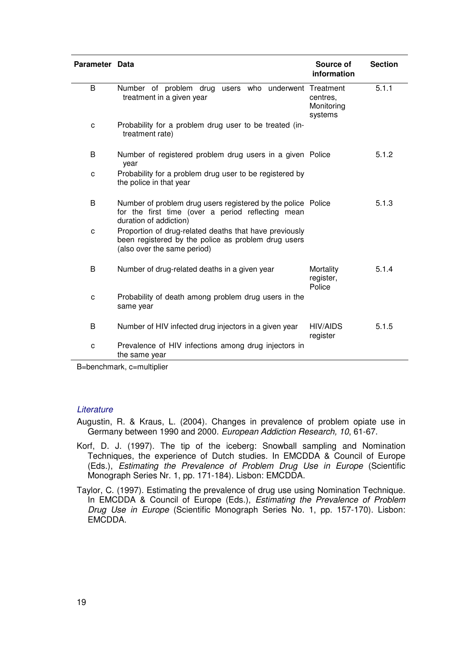| Parameter Data |                                                                                                                                              | Source of<br>information          | <b>Section</b> |
|----------------|----------------------------------------------------------------------------------------------------------------------------------------------|-----------------------------------|----------------|
| B              | Number of problem drug users who underwent Treatment<br>treatment in a given year                                                            | centres,<br>Monitoring<br>systems | 5.1.1          |
| C              | Probability for a problem drug user to be treated (in-<br>treatment rate)                                                                    |                                   |                |
| B              | Number of registered problem drug users in a given Police<br>year                                                                            |                                   | 5.1.2          |
| C              | Probability for a problem drug user to be registered by<br>the police in that year                                                           |                                   |                |
| B              | Number of problem drug users registered by the police Police<br>for the first time (over a period reflecting mean<br>duration of addiction)  |                                   | 5.1.3          |
| C              | Proportion of drug-related deaths that have previously<br>been registered by the police as problem drug users<br>(also over the same period) |                                   |                |
| B              | Number of drug-related deaths in a given year                                                                                                | Mortality<br>register,<br>Police  | 5.1.4          |
| C              | Probability of death among problem drug users in the<br>same year                                                                            |                                   |                |
| B              | Number of HIV infected drug injectors in a given year                                                                                        | <b>HIV/AIDS</b><br>register       | 5.1.5          |
| c              | Prevalence of HIV infections among drug injectors in<br>the same year                                                                        |                                   |                |

B=benchmark, c=multiplier

#### **Literature**

Augustin, R. & Kraus, L. (2004). Changes in prevalence of problem opiate use in Germany between 1990 and 2000. European Addiction Research, 10, 61-67.

- Korf, D. J. (1997). The tip of the iceberg: Snowball sampling and Nomination Techniques, the experience of Dutch studies. In EMCDDA & Council of Europe (Eds.), Estimating the Prevalence of Problem Drug Use in Europe (Scientific Monograph Series Nr. 1, pp. 171-184). Lisbon: EMCDDA.
- Taylor, C. (1997). Estimating the prevalence of drug use using Nomination Technique. In EMCDDA & Council of Europe (Eds.), Estimating the Prevalence of Problem Drug Use in Europe (Scientific Monograph Series No. 1, pp. 157-170). Lisbon: EMCDDA.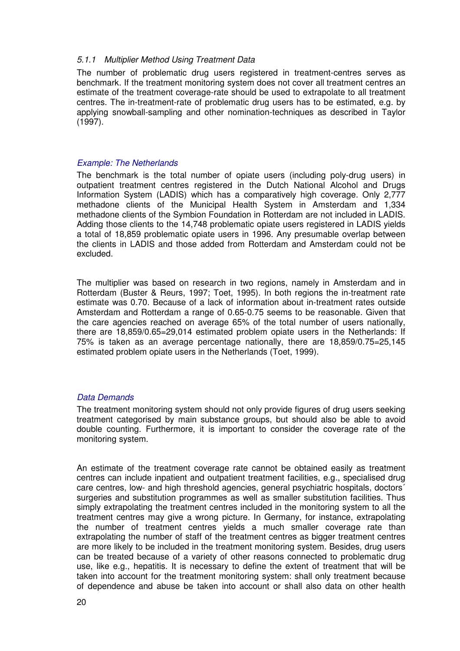#### 5.1.1 Multiplier Method Using Treatment Data

The number of problematic drug users registered in treatment-centres serves as benchmark. If the treatment monitoring system does not cover all treatment centres an estimate of the treatment coverage-rate should be used to extrapolate to all treatment centres. The in-treatment-rate of problematic drug users has to be estimated, e.g. by applying snowball-sampling and other nomination-techniques as described in Taylor (1997).

#### Example: The Netherlands

The benchmark is the total number of opiate users (including poly-drug users) in outpatient treatment centres registered in the Dutch National Alcohol and Drugs Information System (LADIS) which has a comparatively high coverage. Only 2,777 methadone clients of the Municipal Health System in Amsterdam and 1,334 methadone clients of the Symbion Foundation in Rotterdam are not included in LADIS. Adding those clients to the 14,748 problematic opiate users registered in LADIS yields a total of 18,859 problematic opiate users in 1996. Any presumable overlap between the clients in LADIS and those added from Rotterdam and Amsterdam could not be excluded.

The multiplier was based on research in two regions, namely in Amsterdam and in Rotterdam (Buster & Reurs, 1997; Toet, 1995). In both regions the in-treatment rate estimate was 0.70. Because of a lack of information about in-treatment rates outside Amsterdam and Rotterdam a range of 0.65-0.75 seems to be reasonable. Given that the care agencies reached on average 65% of the total number of users nationally, there are 18,859/0.65=29,014 estimated problem opiate users in the Netherlands: If 75% is taken as an average percentage nationally, there are 18,859/0.75=25,145 estimated problem opiate users in the Netherlands (Toet, 1999).

## Data Demands

The treatment monitoring system should not only provide figures of drug users seeking treatment categorised by main substance groups, but should also be able to avoid double counting. Furthermore, it is important to consider the coverage rate of the monitoring system.

An estimate of the treatment coverage rate cannot be obtained easily as treatment centres can include inpatient and outpatient treatment facilities, e.g., specialised drug care centres, low- and high threshold agencies, general psychiatric hospitals, doctors´ surgeries and substitution programmes as well as smaller substitution facilities. Thus simply extrapolating the treatment centres included in the monitoring system to all the treatment centres may give a wrong picture. In Germany, for instance, extrapolating the number of treatment centres yields a much smaller coverage rate than extrapolating the number of staff of the treatment centres as bigger treatment centres are more likely to be included in the treatment monitoring system. Besides, drug users can be treated because of a variety of other reasons connected to problematic drug use, like e.g., hepatitis. It is necessary to define the extent of treatment that will be taken into account for the treatment monitoring system: shall only treatment because of dependence and abuse be taken into account or shall also data on other health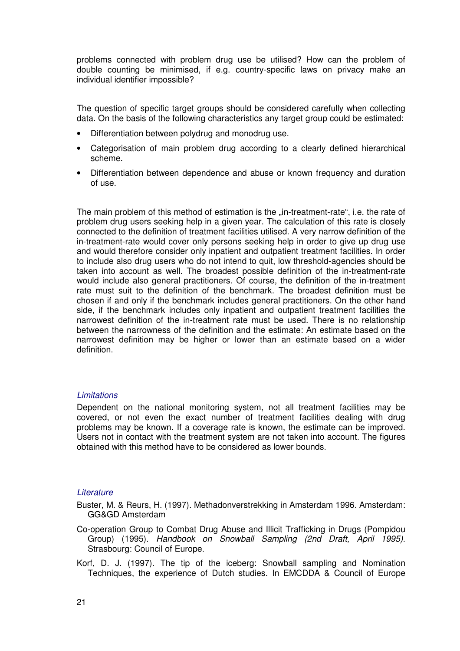problems connected with problem drug use be utilised? How can the problem of double counting be minimised, if e.g. country-specific laws on privacy make an individual identifier impossible?

The question of specific target groups should be considered carefully when collecting data. On the basis of the following characteristics any target group could be estimated:

- Differentiation between polydrug and monodrug use.
- Categorisation of main problem drug according to a clearly defined hierarchical scheme.
- Differentiation between dependence and abuse or known frequency and duration of use.

The main problem of this method of estimation is the "in-treatment-rate", i.e. the rate of problem drug users seeking help in a given year. The calculation of this rate is closely connected to the definition of treatment facilities utilised. A very narrow definition of the in-treatment-rate would cover only persons seeking help in order to give up drug use and would therefore consider only inpatient and outpatient treatment facilities. In order to include also drug users who do not intend to quit, low threshold-agencies should be taken into account as well. The broadest possible definition of the in-treatment-rate would include also general practitioners. Of course, the definition of the in-treatment rate must suit to the definition of the benchmark. The broadest definition must be chosen if and only if the benchmark includes general practitioners. On the other hand side, if the benchmark includes only inpatient and outpatient treatment facilities the narrowest definition of the in-treatment rate must be used. There is no relationship between the narrowness of the definition and the estimate: An estimate based on the narrowest definition may be higher or lower than an estimate based on a wider definition.

## **Limitations**

Dependent on the national monitoring system, not all treatment facilities may be covered, or not even the exact number of treatment facilities dealing with drug problems may be known. If a coverage rate is known, the estimate can be improved. Users not in contact with the treatment system are not taken into account. The figures obtained with this method have to be considered as lower bounds.

## **Literature**

Buster, M. & Reurs, H. (1997). Methadonverstrekking in Amsterdam 1996. Amsterdam: GG&GD Amsterdam

- Co-operation Group to Combat Drug Abuse and Illicit Trafficking in Drugs (Pompidou Group) (1995). Handbook on Snowball Sampling (2nd Draft, April 1995). Strasbourg: Council of Europe.
- Korf, D. J. (1997). The tip of the iceberg: Snowball sampling and Nomination Techniques, the experience of Dutch studies. In EMCDDA & Council of Europe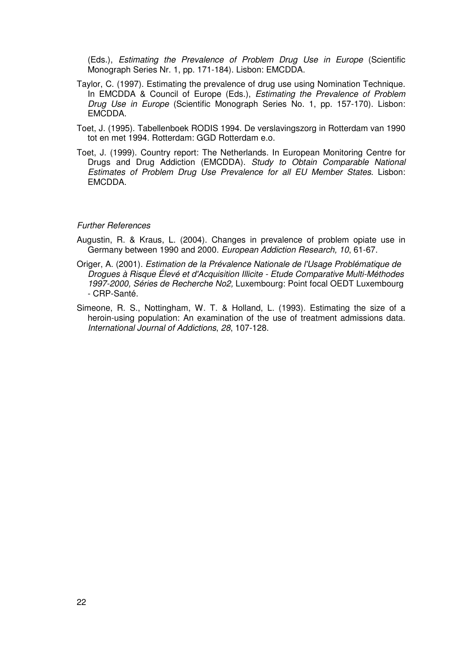(Eds.), Estimating the Prevalence of Problem Drug Use in Europe (Scientific Monograph Series Nr. 1, pp. 171-184). Lisbon: EMCDDA.

- Taylor, C. (1997). Estimating the prevalence of drug use using Nomination Technique. In EMCDDA & Council of Europe (Eds.), Estimating the Prevalence of Problem Drug Use in Europe (Scientific Monograph Series No. 1, pp. 157-170). Lisbon: EMCDDA.
- Toet, J. (1995). Tabellenboek RODIS 1994. De verslavingszorg in Rotterdam van 1990 tot en met 1994. Rotterdam: GGD Rotterdam e.o.
- Toet, J. (1999). Country report: The Netherlands. In European Monitoring Centre for Drugs and Drug Addiction (EMCDDA). Study to Obtain Comparable National Estimates of Problem Drug Use Prevalence for all EU Member States. Lisbon: EMCDDA.

#### Further References

- Augustin, R. & Kraus, L. (2004). Changes in prevalence of problem opiate use in Germany between 1990 and 2000. European Addiction Research, 10, 61-67.
- Origer, A. (2001). Estimation de la Prévalence Nationale de l'Usage Problématique de Drogues à Risque Élevé et d'Acquisition Illicite - Etude Comparative Multi-Méthodes 1997-2000, Séries de Recherche No2, Luxembourg: Point focal OEDT Luxembourg - CRP-Santé.
- Simeone, R. S., Nottingham, W. T. & Holland, L. (1993). Estimating the size of a heroin-using population: An examination of the use of treatment admissions data. International Journal of Addictions, 28, 107-128.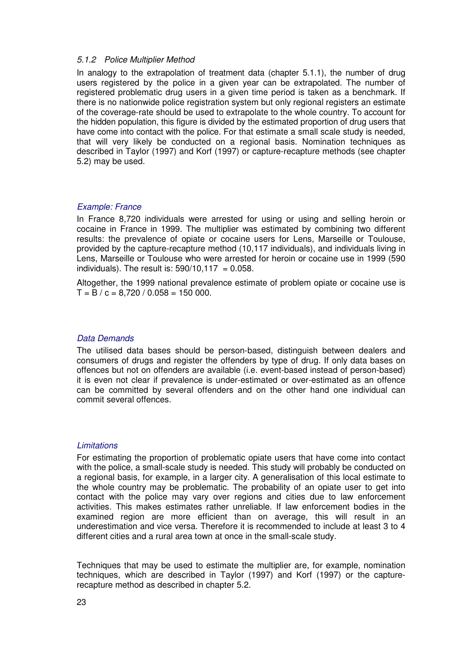#### 5.1.2 Police Multiplier Method

In analogy to the extrapolation of treatment data (chapter 5.1.1), the number of drug users registered by the police in a given year can be extrapolated. The number of registered problematic drug users in a given time period is taken as a benchmark. If there is no nationwide police registration system but only regional registers an estimate of the coverage-rate should be used to extrapolate to the whole country. To account for the hidden population, this figure is divided by the estimated proportion of drug users that have come into contact with the police. For that estimate a small scale study is needed, that will very likely be conducted on a regional basis. Nomination techniques as described in Taylor (1997) and Korf (1997) or capture-recapture methods (see chapter 5.2) may be used.

#### Example: France

In France 8,720 individuals were arrested for using or using and selling heroin or cocaine in France in 1999. The multiplier was estimated by combining two different results: the prevalence of opiate or cocaine users for Lens, Marseille or Toulouse, provided by the capture-recapture method (10,117 individuals), and individuals living in Lens, Marseille or Toulouse who were arrested for heroin or cocaine use in 1999 (590 individuals). The result is:  $590/10.117 = 0.058$ .

Altogether, the 1999 national prevalence estimate of problem opiate or cocaine use is  $T = B / c = 8.720 / 0.058 = 150 000$ .

#### Data Demands

The utilised data bases should be person-based, distinguish between dealers and consumers of drugs and register the offenders by type of drug. If only data bases on offences but not on offenders are available (i.e. event-based instead of person-based) it is even not clear if prevalence is under-estimated or over-estimated as an offence can be committed by several offenders and on the other hand one individual can commit several offences.

#### **Limitations**

For estimating the proportion of problematic opiate users that have come into contact with the police, a small-scale study is needed. This study will probably be conducted on a regional basis, for example, in a larger city. A generalisation of this local estimate to the whole country may be problematic. The probability of an opiate user to get into contact with the police may vary over regions and cities due to law enforcement activities. This makes estimates rather unreliable. If law enforcement bodies in the examined region are more efficient than on average, this will result in an underestimation and vice versa. Therefore it is recommended to include at least 3 to 4 different cities and a rural area town at once in the small-scale study.

Techniques that may be used to estimate the multiplier are, for example, nomination techniques, which are described in Taylor (1997) and Korf (1997) or the capturerecapture method as described in chapter 5.2.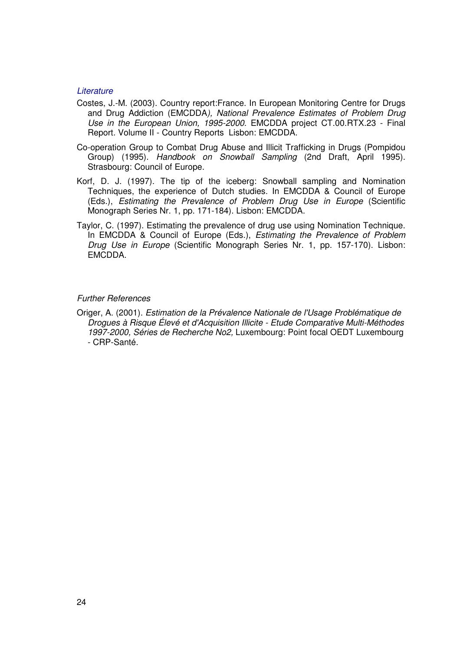#### **Literature**

- Costes, J.-M. (2003). Country report:France. In European Monitoring Centre for Drugs and Drug Addiction (EMCDDA), National Prevalence Estimates of Problem Drug Use in the European Union, 1995-2000. EMCDDA project CT.00.RTX.23 - Final Report. Volume II - Country Reports Lisbon: EMCDDA.
- Co-operation Group to Combat Drug Abuse and Illicit Trafficking in Drugs (Pompidou Group) (1995). Handbook on Snowball Sampling (2nd Draft, April 1995). Strasbourg: Council of Europe.
- Korf, D. J. (1997). The tip of the iceberg: Snowball sampling and Nomination Techniques, the experience of Dutch studies. In EMCDDA & Council of Europe (Eds.), Estimating the Prevalence of Problem Drug Use in Europe (Scientific Monograph Series Nr. 1, pp. 171-184). Lisbon: EMCDDA.
- Taylor, C. (1997). Estimating the prevalence of drug use using Nomination Technique. In EMCDDA & Council of Europe (Eds.), Estimating the Prevalence of Problem Drug Use in Europe (Scientific Monograph Series Nr. 1, pp. 157-170). Lisbon: EMCDDA.

#### Further References

Origer, A. (2001). Estimation de la Prévalence Nationale de l'Usage Problématique de Drogues à Risque Élevé et d'Acquisition Illicite - Etude Comparative Multi-Méthodes 1997-2000, Séries de Recherche No2, Luxembourg: Point focal OEDT Luxembourg - CRP-Santé.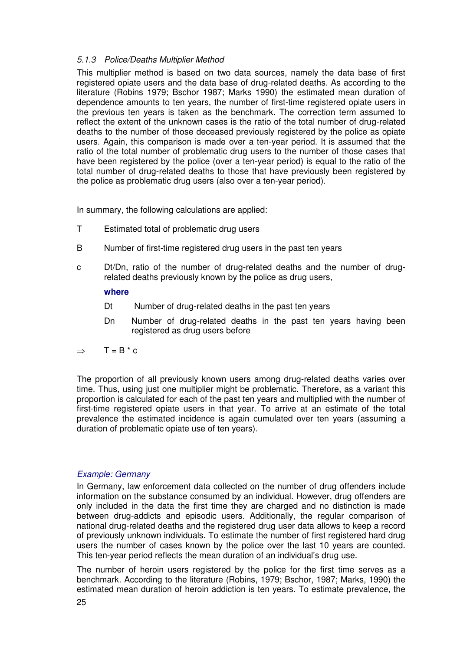## 5.1.3 Police/Deaths Multiplier Method

This multiplier method is based on two data sources, namely the data base of first registered opiate users and the data base of drug-related deaths. As according to the literature (Robins 1979; Bschor 1987; Marks 1990) the estimated mean duration of dependence amounts to ten years, the number of first-time registered opiate users in the previous ten years is taken as the benchmark. The correction term assumed to reflect the extent of the unknown cases is the ratio of the total number of drug-related deaths to the number of those deceased previously registered by the police as opiate users. Again, this comparison is made over a ten-year period. It is assumed that the ratio of the total number of problematic drug users to the number of those cases that have been registered by the police (over a ten-year period) is equal to the ratio of the total number of drug-related deaths to those that have previously been registered by the police as problematic drug users (also over a ten-year period).

In summary, the following calculations are applied:

- T Estimated total of problematic drug users
- B Number of first-time registered drug users in the past ten years
- c Dt/Dn, ratio of the number of drug-related deaths and the number of drugrelated deaths previously known by the police as drug users,

#### **where**

- Dt Number of drug-related deaths in the past ten years
- Dn Number of drug-related deaths in the past ten years having been registered as drug users before
- $\Rightarrow$  T = B \* c

The proportion of all previously known users among drug-related deaths varies over time. Thus, using just one multiplier might be problematic. Therefore, as a variant this proportion is calculated for each of the past ten years and multiplied with the number of first-time registered opiate users in that year. To arrive at an estimate of the total prevalence the estimated incidence is again cumulated over ten years (assuming a duration of problematic opiate use of ten years).

## Example: Germany

In Germany, law enforcement data collected on the number of drug offenders include information on the substance consumed by an individual. However, drug offenders are only included in the data the first time they are charged and no distinction is made between drug-addicts and episodic users. Additionally, the regular comparison of national drug-related deaths and the registered drug user data allows to keep a record of previously unknown individuals. To estimate the number of first registered hard drug users the number of cases known by the police over the last 10 years are counted. This ten-year period reflects the mean duration of an individual's drug use.

The number of heroin users registered by the police for the first time serves as a benchmark. According to the literature (Robins, 1979; Bschor, 1987; Marks, 1990) the estimated mean duration of heroin addiction is ten years. To estimate prevalence, the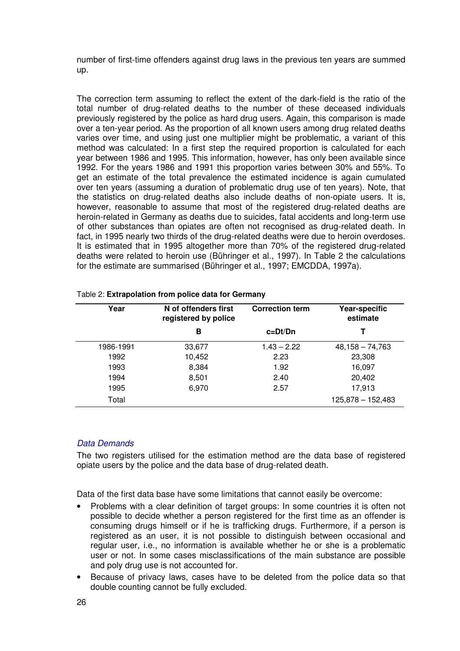number of first-time offenders against drug laws in the previous ten years are summed up.

The correction term assuming to reflect the extent of the dark-field is the ratio of the total number of drug-related deaths to the number of these deceased individuals previously registered by the police as hard drug users. Again, this comparison is made over a ten-year period. As the proportion of all known users among drug related deaths varies over time, and using just one multiplier might be problematic, a variant of this method was calculated: In a first step the required proportion is calculated for each year between 1986 and 1995. This information, however, has only been available since 1992. For the years 1986 and 1991 this proportion varies between 30% and 55%. To get an estimate of the total prevalence the estimated incidence is again cumulated over ten years (assuming a duration of problematic drug use of ten years). Note, that the statistics on drug-related deaths also include deaths of non-opiate users. It is, however, reasonable to assume that most of the registered drug-related deaths are heroin-related in Germany as deaths due to suicides, fatal accidents and long-term use of other substances than opiates are often not recognised as drug-related death. In fact, in 1995 nearly two thirds of the drug-related deaths were due to heroin overdoses. It is estimated that in 1995 altogether more than 70% of the registered drug-related deaths were related to heroin use (Bühringer et al., 1997). In Table 2 the calculations for the estimate are summarised (Bühringer et al., 1997; EMCDDA, 1997a).

| Year      | N of offenders first<br>registered by police | <b>Correction term</b> | Year-specific<br>estimate |
|-----------|----------------------------------------------|------------------------|---------------------------|
|           | в                                            | $c = Dt/Dn$            |                           |
| 1986-1991 | 33,677                                       | $1.43 - 2.22$          | $48,158 - 74,763$         |
| 1992      | 10,452                                       | 2.23                   | 23,308                    |
| 1993      | 8,384                                        | 1.92                   | 16,097                    |
| 1994      | 8,501                                        | 2.40                   | 20,402                    |
| 1995      | 6,970                                        | 2.57                   | 17,913                    |
| Total     |                                              |                        | $125,878 - 152,483$       |

#### Table 2: **Extrapolation from police data for Germany**

## Data Demands

The two registers utilised for the estimation method are the data base of registered opiate users by the police and the data base of drug-related death.

Data of the first data base have some limitations that cannot easily be overcome:

- Problems with a clear definition of target groups: In some countries it is often not possible to decide whether a person registered for the first time as an offender is consuming drugs himself or if he is trafficking drugs. Furthermore, if a person is registered as an user, it is not possible to distinguish between occasional and regular user, i.e., no information is available whether he or she is a problematic user or not. In some cases misclassifications of the main substance are possible and poly drug use is not accounted for.
- Because of privacy laws, cases have to be deleted from the police data so that double counting cannot be fully excluded.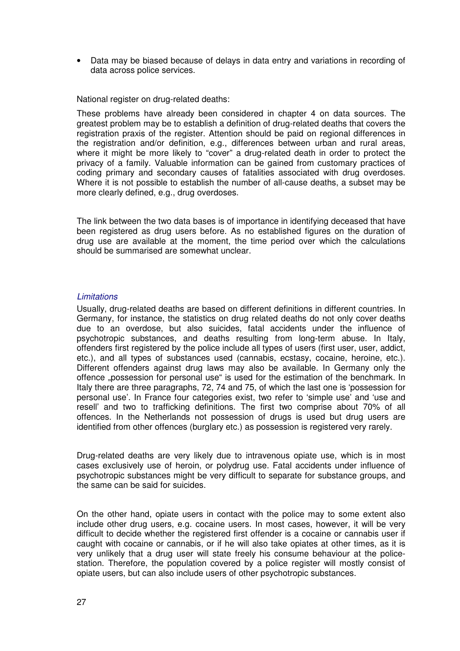• Data may be biased because of delays in data entry and variations in recording of data across police services.

National register on drug-related deaths:

These problems have already been considered in chapter 4 on data sources. The greatest problem may be to establish a definition of drug-related deaths that covers the registration praxis of the register. Attention should be paid on regional differences in the registration and/or definition, e.g., differences between urban and rural areas, where it might be more likely to "cover" a drug-related death in order to protect the privacy of a family. Valuable information can be gained from customary practices of coding primary and secondary causes of fatalities associated with drug overdoses. Where it is not possible to establish the number of all-cause deaths, a subset may be more clearly defined, e.g., drug overdoses.

The link between the two data bases is of importance in identifying deceased that have been registered as drug users before. As no established figures on the duration of drug use are available at the moment, the time period over which the calculations should be summarised are somewhat unclear.

#### **Limitations**

Usually, drug-related deaths are based on different definitions in different countries. In Germany, for instance, the statistics on drug related deaths do not only cover deaths due to an overdose, but also suicides, fatal accidents under the influence of psychotropic substances, and deaths resulting from long-term abuse. In Italy, offenders first registered by the police include all types of users (first user, user, addict, etc.), and all types of substances used (cannabis, ecstasy, cocaine, heroine, etc.). Different offenders against drug laws may also be available. In Germany only the offence "possession for personal use" is used for the estimation of the benchmark. In Italy there are three paragraphs, 72, 74 and 75, of which the last one is 'possession for personal use'. In France four categories exist, two refer to 'simple use' and 'use and resell' and two to trafficking definitions. The first two comprise about 70% of all offences. In the Netherlands not possession of drugs is used but drug users are identified from other offences (burglary etc.) as possession is registered very rarely.

Drug-related deaths are very likely due to intravenous opiate use, which is in most cases exclusively use of heroin, or polydrug use. Fatal accidents under influence of psychotropic substances might be very difficult to separate for substance groups, and the same can be said for suicides.

On the other hand, opiate users in contact with the police may to some extent also include other drug users, e.g. cocaine users. In most cases, however, it will be very difficult to decide whether the registered first offender is a cocaine or cannabis user if caught with cocaine or cannabis, or if he will also take opiates at other times, as it is very unlikely that a drug user will state freely his consume behaviour at the policestation. Therefore, the population covered by a police register will mostly consist of opiate users, but can also include users of other psychotropic substances.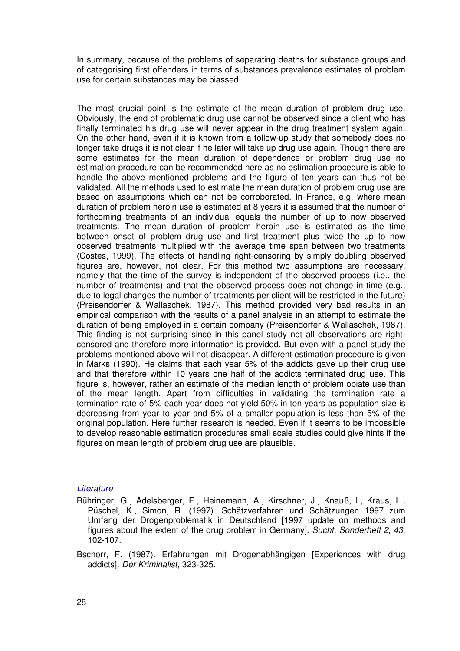In summary, because of the problems of separating deaths for substance groups and of categorising first offenders in terms of substances prevalence estimates of problem use for certain substances may be biassed.

The most crucial point is the estimate of the mean duration of problem drug use. Obviously, the end of problematic drug use cannot be observed since a client who has finally terminated his drug use will never appear in the drug treatment system again. On the other hand, even if it is known from a follow-up study that somebody does no longer take drugs it is not clear if he later will take up drug use again. Though there are some estimates for the mean duration of dependence or problem drug use no estimation procedure can be recommended here as no estimation procedure is able to handle the above mentioned problems and the figure of ten years can thus not be validated. All the methods used to estimate the mean duration of problem drug use are based on assumptions which can not be corroborated. In France, e.g. where mean duration of problem heroin use is estimated at 8 years it is assumed that the number of forthcoming treatments of an individual equals the number of up to now observed treatments. The mean duration of problem heroin use is estimated as the time between onset of problem drug use and first treatment plus twice the up to now observed treatments multiplied with the average time span between two treatments (Costes, 1999). The effects of handling right-censoring by simply doubling observed figures are, however, not clear. For this method two assumptions are necessary, namely that the time of the survey is independent of the observed process (i.e., the number of treatments) and that the observed process does not change in time (e.g., due to legal changes the number of treatments per client will be restricted in the future) (Preisendörfer & Wallaschek, 1987). This method provided very bad results in an empirical comparison with the results of a panel analysis in an attempt to estimate the duration of being employed in a certain company (Preisendörfer & Wallaschek, 1987). This finding is not surprising since in this panel study not all observations are rightcensored and therefore more information is provided. But even with a panel study the problems mentioned above will not disappear. A different estimation procedure is given in Marks (1990). He claims that each year 5% of the addicts gave up their drug use and that therefore within 10 years one half of the addicts terminated drug use. This figure is, however, rather an estimate of the median length of problem opiate use than of the mean length. Apart from difficulties in validating the termination rate a termination rate of 5% each year does not yield 50% in ten years as population size is decreasing from year to year and 5% of a smaller population is less than 5% of the original population. Here further research is needed. Even if it seems to be impossible to develop reasonable estimation procedures small scale studies could give hints if the figures on mean length of problem drug use are plausible.

## **Literature**

- Bühringer, G., Adelsberger, F., Heinemann, A., Kirschner, J., Knauß, I., Kraus, L., Püschel, K., Simon, R. (1997). Schätzverfahren und Schätzungen 1997 zum Umfang der Drogenproblematik in Deutschland [1997 update on methods and figures about the extent of the drug problem in Germany]. Sucht, Sonderheft 2, 43, 102-107.
- Bschorr, F. (1987). Erfahrungen mit Drogenabhängigen [Experiences with drug addicts]. Der Kriminalist, 323-325.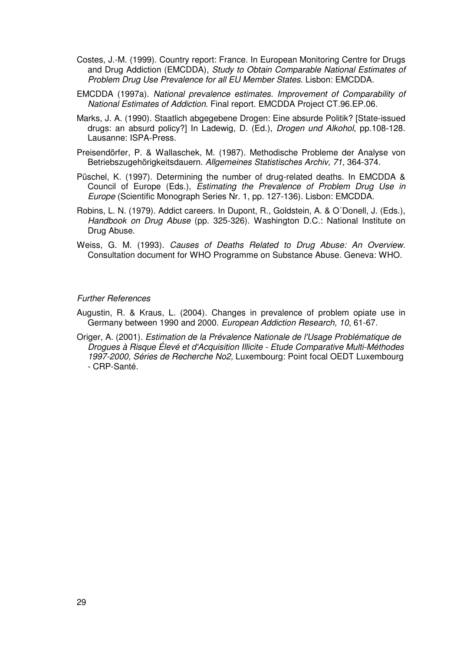- Costes, J.-M. (1999). Country report: France. In European Monitoring Centre for Drugs and Drug Addiction (EMCDDA), Study to Obtain Comparable National Estimates of Problem Drug Use Prevalence for all EU Member States. Lisbon: EMCDDA.
- EMCDDA (1997a). National prevalence estimates. Improvement of Comparability of National Estimates of Addiction. Final report. EMCDDA Project CT.96.EP.06.
- Marks, J. A. (1990). Staatlich abgegebene Drogen: Eine absurde Politik? [State-issued drugs: an absurd policy?] In Ladewig, D. (Ed.), Drogen und Alkohol, pp.108-128. Lausanne: ISPA-Press.
- Preisendörfer, P. & Wallaschek, M. (1987). Methodische Probleme der Analyse von Betriebszugehörigkeitsdauern. Allgemeines Statistisches Archiv, 71, 364-374.
- Püschel, K. (1997). Determining the number of drug-related deaths. In EMCDDA & Council of Europe (Eds.), Estimating the Prevalence of Problem Drug Use in Europe (Scientific Monograph Series Nr. 1, pp. 127-136). Lisbon: EMCDDA.
- Robins, L. N. (1979). Addict careers. In Dupont, R., Goldstein, A. & O´Donell, J. (Eds.), Handbook on Drug Abuse (pp. 325-326). Washington D.C.: National Institute on Drug Abuse.
- Weiss, G. M. (1993). Causes of Deaths Related to Drug Abuse: An Overview. Consultation document for WHO Programme on Substance Abuse. Geneva: WHO.

#### Further References

- Augustin, R. & Kraus, L. (2004). Changes in prevalence of problem opiate use in Germany between 1990 and 2000. European Addiction Research, 10, 61-67.
- Origer, A. (2001). Estimation de la Prévalence Nationale de l'Usage Problématique de Drogues à Risque Élevé et d'Acquisition Illicite - Etude Comparative Multi-Méthodes 1997-2000, Séries de Recherche No2, Luxembourg: Point focal OEDT Luxembourg - CRP-Santé.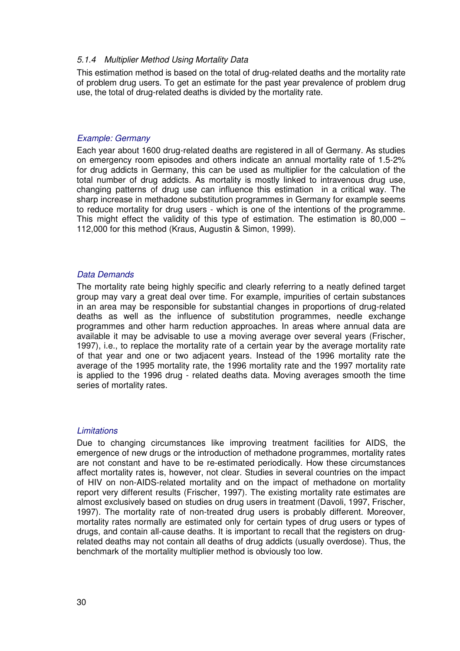#### 5.1.4 Multiplier Method Using Mortality Data

This estimation method is based on the total of drug-related deaths and the mortality rate of problem drug users. To get an estimate for the past year prevalence of problem drug use, the total of drug-related deaths is divided by the mortality rate.

#### Example: Germany

Each year about 1600 drug-related deaths are registered in all of Germany. As studies on emergency room episodes and others indicate an annual mortality rate of 1.5-2% for drug addicts in Germany, this can be used as multiplier for the calculation of the total number of drug addicts. As mortality is mostly linked to intravenous drug use, changing patterns of drug use can influence this estimation in a critical way. The sharp increase in methadone substitution programmes in Germany for example seems to reduce mortality for drug users - which is one of the intentions of the programme. This might effect the validity of this type of estimation. The estimation is 80,000 – 112,000 for this method (Kraus, Augustin & Simon, 1999).

#### Data Demands

The mortality rate being highly specific and clearly referring to a neatly defined target group may vary a great deal over time. For example, impurities of certain substances in an area may be responsible for substantial changes in proportions of drug-related deaths as well as the influence of substitution programmes, needle exchange programmes and other harm reduction approaches. In areas where annual data are available it may be advisable to use a moving average over several years (Frischer, 1997), i.e., to replace the mortality rate of a certain year by the average mortality rate of that year and one or two adjacent years. Instead of the 1996 mortality rate the average of the 1995 mortality rate, the 1996 mortality rate and the 1997 mortality rate is applied to the 1996 drug - related deaths data. Moving averages smooth the time series of mortality rates.

#### **Limitations**

Due to changing circumstances like improving treatment facilities for AIDS, the emergence of new drugs or the introduction of methadone programmes, mortality rates are not constant and have to be re-estimated periodically. How these circumstances affect mortality rates is, however, not clear. Studies in several countries on the impact of HIV on non-AIDS-related mortality and on the impact of methadone on mortality report very different results (Frischer, 1997). The existing mortality rate estimates are almost exclusively based on studies on drug users in treatment (Davoli, 1997, Frischer, 1997). The mortality rate of non-treated drug users is probably different. Moreover, mortality rates normally are estimated only for certain types of drug users or types of drugs, and contain all-cause deaths. It is important to recall that the registers on drugrelated deaths may not contain all deaths of drug addicts (usually overdose). Thus, the benchmark of the mortality multiplier method is obviously too low.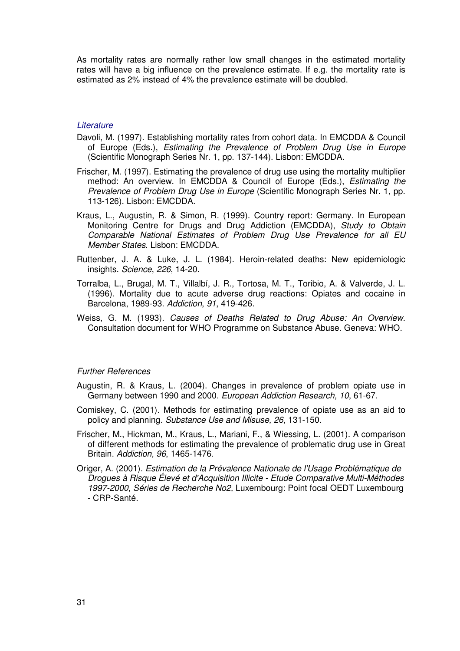As mortality rates are normally rather low small changes in the estimated mortality rates will have a big influence on the prevalence estimate. If e.g. the mortality rate is estimated as 2% instead of 4% the prevalence estimate will be doubled.

#### **Literature**

- Davoli, M. (1997). Establishing mortality rates from cohort data. In EMCDDA & Council of Europe (Eds.), Estimating the Prevalence of Problem Drug Use in Europe (Scientific Monograph Series Nr. 1, pp. 137-144). Lisbon: EMCDDA.
- Frischer, M. (1997). Estimating the prevalence of drug use using the mortality multiplier method: An overview. In EMCDDA & Council of Europe (Eds.), Estimating the Prevalence of Problem Drug Use in Europe (Scientific Monograph Series Nr. 1, pp. 113-126). Lisbon: EMCDDA.
- Kraus, L., Augustin, R. & Simon, R. (1999). Country report: Germany. In European Monitoring Centre for Drugs and Drug Addiction (EMCDDA), Study to Obtain Comparable National Estimates of Problem Drug Use Prevalence for all EU Member States. Lisbon: EMCDDA.
- Ruttenber, J. A. & Luke, J. L. (1984). Heroin-related deaths: New epidemiologic insights. Science, 226, 14-20.
- Torralba, L., Brugal, M. T., Villalbí, J. R., Tortosa, M. T., Toribio, A. & Valverde, J. L. (1996). Mortality due to acute adverse drug reactions: Opiates and cocaine in Barcelona, 1989-93. Addiction, 91, 419-426.
- Weiss, G. M. (1993). Causes of Deaths Related to Drug Abuse: An Overview. Consultation document for WHO Programme on Substance Abuse. Geneva: WHO.

#### Further References

- Augustin, R. & Kraus, L. (2004). Changes in prevalence of problem opiate use in Germany between 1990 and 2000. European Addiction Research, 10, 61-67.
- Comiskey, C. (2001). Methods for estimating prevalence of opiate use as an aid to policy and planning. Substance Use and Misuse, 26, 131-150.
- Frischer, M., Hickman, M., Kraus, L., Mariani, F., & Wiessing, L. (2001). A comparison of different methods for estimating the prevalence of problematic drug use in Great Britain. Addiction, 96, 1465-1476.
- Origer, A. (2001). Estimation de la Prévalence Nationale de l'Usage Problématique de Drogues à Risque Élevé et d'Acquisition Illicite - Etude Comparative Multi-Méthodes 1997-2000, Séries de Recherche No2, Luxembourg: Point focal OEDT Luxembourg - CRP-Santé.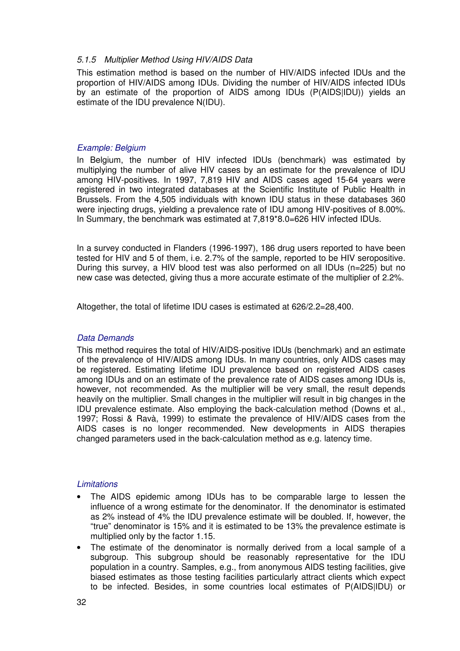## 5.1.5 Multiplier Method Using HIV/AIDS Data

This estimation method is based on the number of HIV/AIDS infected IDUs and the proportion of HIV/AIDS among IDUs. Dividing the number of HIV/AIDS infected IDUs by an estimate of the proportion of AIDS among IDUs (P(AIDS|IDU)) yields an estimate of the IDU prevalence N(IDU).

#### Example: Belgium

In Belgium, the number of HIV infected IDUs (benchmark) was estimated by multiplying the number of alive HIV cases by an estimate for the prevalence of IDU among HIV-positives. In 1997, 7,819 HIV and AIDS cases aged 15-64 years were registered in two integrated databases at the Scientific Institute of Public Health in Brussels. From the 4,505 individuals with known IDU status in these databases 360 were injecting drugs, yielding a prevalence rate of IDU among HIV-positives of 8.00%. In Summary, the benchmark was estimated at 7,819\*8.0=626 HIV infected IDUs.

In a survey conducted in Flanders (1996-1997), 186 drug users reported to have been tested for HIV and 5 of them, i.e. 2.7% of the sample, reported to be HIV seropositive. During this survey, a HIV blood test was also performed on all IDUs (n=225) but no new case was detected, giving thus a more accurate estimate of the multiplier of 2.2%.

Altogether, the total of lifetime IDU cases is estimated at 626/2.2=28,400.

## Data Demands

This method requires the total of HIV/AIDS-positive IDUs (benchmark) and an estimate of the prevalence of HIV/AIDS among IDUs. In many countries, only AIDS cases may be registered. Estimating lifetime IDU prevalence based on registered AIDS cases among IDUs and on an estimate of the prevalence rate of AIDS cases among IDUs is, however, not recommended. As the multiplier will be very small, the result depends heavily on the multiplier. Small changes in the multiplier will result in big changes in the IDU prevalence estimate. Also employing the back-calculation method (Downs et al., 1997; Rossi & Ravà, 1999) to estimate the prevalence of HIV/AIDS cases from the AIDS cases is no longer recommended. New developments in AIDS therapies changed parameters used in the back-calculation method as e.g. latency time.

#### **Limitations**

- The AIDS epidemic among IDUs has to be comparable large to lessen the influence of a wrong estimate for the denominator. If the denominator is estimated as 2% instead of 4% the IDU prevalence estimate will be doubled. If, however, the "true" denominator is 15% and it is estimated to be 13% the prevalence estimate is multiplied only by the factor 1.15.
- The estimate of the denominator is normally derived from a local sample of a subgroup. This subgroup should be reasonably representative for the IDU population in a country. Samples, e.g., from anonymous AIDS testing facilities, give biased estimates as those testing facilities particularly attract clients which expect to be infected. Besides, in some countries local estimates of P(AIDS|IDU) or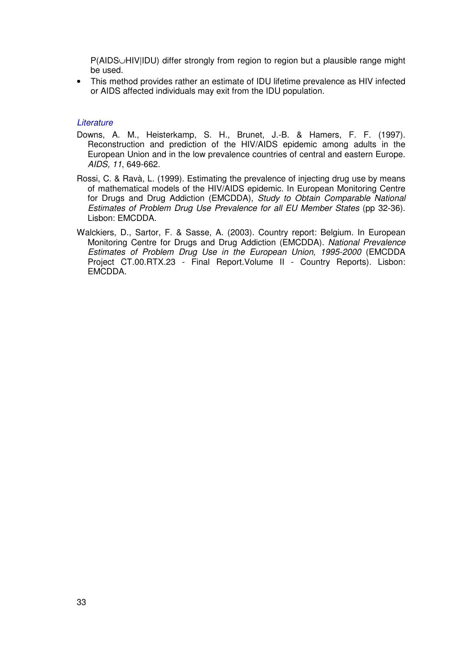P(AIDS∪HIV|IDU) differ strongly from region to region but a plausible range might be used.

• This method provides rather an estimate of IDU lifetime prevalence as HIV infected or AIDS affected individuals may exit from the IDU population.

#### **Literature**

- Downs, A. M., Heisterkamp, S. H., Brunet, J.-B. & Hamers, F. F. (1997). Reconstruction and prediction of the HIV/AIDS epidemic among adults in the European Union and in the low prevalence countries of central and eastern Europe. AIDS, 11, 649-662.
- Rossi, C. & Ravà, L. (1999). Estimating the prevalence of injecting drug use by means of mathematical models of the HIV/AIDS epidemic. In European Monitoring Centre for Drugs and Drug Addiction (EMCDDA), Study to Obtain Comparable National Estimates of Problem Drug Use Prevalence for all EU Member States (pp 32-36). Lisbon: EMCDDA.
- Walckiers, D., Sartor, F. & Sasse, A. (2003). Country report: Belgium. In European Monitoring Centre for Drugs and Drug Addiction (EMCDDA). National Prevalence Estimates of Problem Drug Use in the European Union, 1995-2000 (EMCDDA Project CT.00.RTX.23 - Final Report.Volume II - Country Reports). Lisbon: EMCDDA.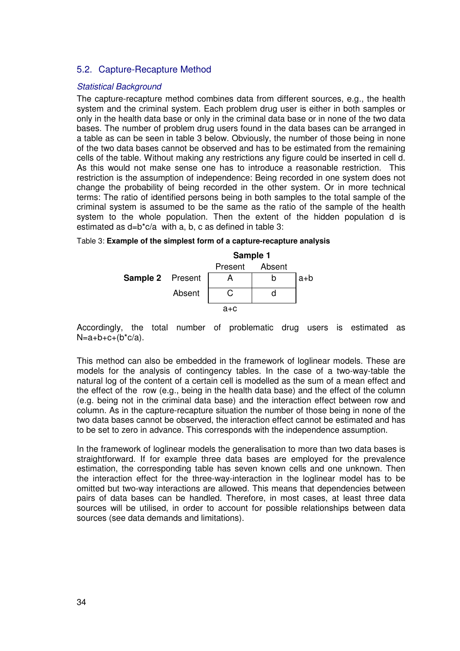## 5.2. Capture-Recapture Method

### Statistical Background

The capture-recapture method combines data from different sources, e.g., the health system and the criminal system. Each problem drug user is either in both samples or only in the health data base or only in the criminal data base or in none of the two data bases. The number of problem drug users found in the data bases can be arranged in a table as can be seen in table 3 below. Obviously, the number of those being in none of the two data bases cannot be observed and has to be estimated from the remaining cells of the table. Without making any restrictions any figure could be inserted in cell d. As this would not make sense one has to introduce a reasonable restriction. This restriction is the assumption of independence: Being recorded in one system does not change the probability of being recorded in the other system. Or in more technical terms: The ratio of identified persons being in both samples to the total sample of the criminal system is assumed to be the same as the ratio of the sample of the health system to the whole population. Then the extent of the hidden population d is estimated as d=b\*c/a with a, b, c as defined in table 3:

|                         |        | Sample 1 |        |       |  |  |
|-------------------------|--------|----------|--------|-------|--|--|
|                         |        | Present  | Absent |       |  |  |
| <b>Sample 2</b> Present |        |          |        | $a+b$ |  |  |
|                         | Absent |          |        |       |  |  |
|                         |        | $A+C$    |        |       |  |  |

Table 3: **Example of the simplest form of a capture-recapture analysis**

Accordingly, the total number of problematic drug users is estimated as  $N=a+b+c+(b^*c/a)$ .

This method can also be embedded in the framework of loglinear models. These are models for the analysis of contingency tables. In the case of a two-way-table the natural log of the content of a certain cell is modelled as the sum of a mean effect and the effect of the row (e.g., being in the health data base) and the effect of the column (e.g. being not in the criminal data base) and the interaction effect between row and column. As in the capture-recapture situation the number of those being in none of the two data bases cannot be observed, the interaction effect cannot be estimated and has to be set to zero in advance. This corresponds with the independence assumption.

In the framework of loglinear models the generalisation to more than two data bases is straightforward. If for example three data bases are employed for the prevalence estimation, the corresponding table has seven known cells and one unknown. Then the interaction effect for the three-way-interaction in the loglinear model has to be omitted but two-way interactions are allowed. This means that dependencies between pairs of data bases can be handled. Therefore, in most cases, at least three data sources will be utilised, in order to account for possible relationships between data sources (see data demands and limitations).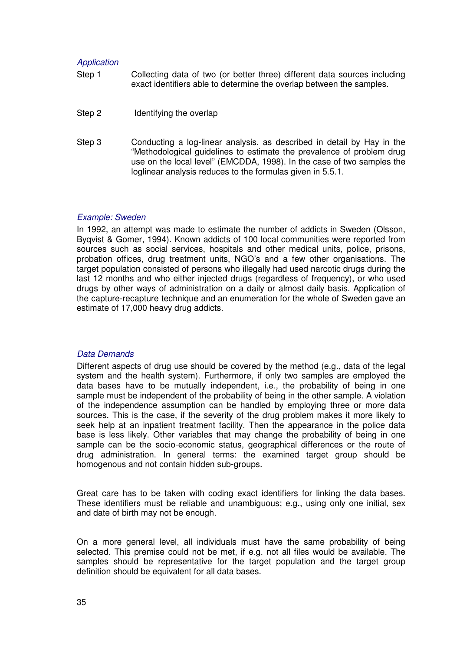#### Application

- Step 1 Collecting data of two (or better three) different data sources including exact identifiers able to determine the overlap between the samples.
- Step 2 Identifying the overlap
- Step 3 Conducting a log-linear analysis, as described in detail by Hay in the "Methodological guidelines to estimate the prevalence of problem drug use on the local level" (EMCDDA, 1998). In the case of two samples the loglinear analysis reduces to the formulas given in 5.5.1.

#### Example: Sweden

In 1992, an attempt was made to estimate the number of addicts in Sweden (Olsson, Byqvist & Gomer, 1994). Known addicts of 100 local communities were reported from sources such as social services, hospitals and other medical units, police, prisons, probation offices, drug treatment units, NGO's and a few other organisations. The target population consisted of persons who illegally had used narcotic drugs during the last 12 months and who either injected drugs (regardless of frequency), or who used drugs by other ways of administration on a daily or almost daily basis. Application of the capture-recapture technique and an enumeration for the whole of Sweden gave an estimate of 17,000 heavy drug addicts.

#### Data Demands

Different aspects of drug use should be covered by the method (e.g., data of the legal system and the health system). Furthermore, if only two samples are employed the data bases have to be mutually independent, i.e., the probability of being in one sample must be independent of the probability of being in the other sample. A violation of the independence assumption can be handled by employing three or more data sources. This is the case, if the severity of the drug problem makes it more likely to seek help at an inpatient treatment facility. Then the appearance in the police data base is less likely. Other variables that may change the probability of being in one sample can be the socio-economic status, geographical differences or the route of drug administration. In general terms: the examined target group should be homogenous and not contain hidden sub-groups.

Great care has to be taken with coding exact identifiers for linking the data bases. These identifiers must be reliable and unambiguous; e.g., using only one initial, sex and date of birth may not be enough.

On a more general level, all individuals must have the same probability of being selected. This premise could not be met, if e.g. not all files would be available. The samples should be representative for the target population and the target group definition should be equivalent for all data bases.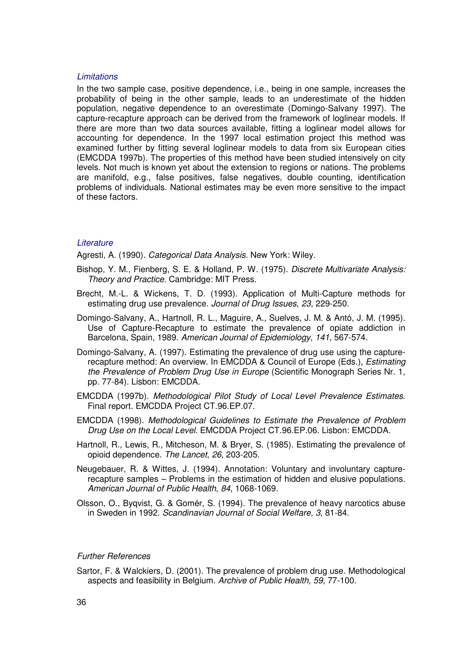#### Limitations

In the two sample case, positive dependence, i.e., being in one sample, increases the probability of being in the other sample, leads to an underestimate of the hidden population, negative dependence to an overestimate (Domingo-Salvany 1997). The capture-recapture approach can be derived from the framework of loglinear models. If there are more than two data sources available, fitting a loglinear model allows for accounting for dependence. In the 1997 local estimation project this method was examined further by fitting several loglinear models to data from six European cities (EMCDDA 1997b). The properties of this method have been studied intensively on city levels. Not much is known yet about the extension to regions or nations. The problems are manifold, e.g., false positives, false negatives, double counting, identification problems of individuals. National estimates may be even more sensitive to the impact of these factors.

#### **Literature**

Agresti, A. (1990). Categorical Data Analysis. New York: Wiley.

- Bishop, Y. M., Fienberg, S. E. & Holland, P. W. (1975). Discrete Multivariate Analysis: Theory and Practice. Cambridge: MIT Press.
- Brecht, M.-L. & Wickens, T. D. (1993). Application of Multi-Capture methods for estimating drug use prevalence. Journal of Drug Issues, 23, 229-250.
- Domingo-Salvany, A., Hartnoll, R. L., Maguire, A., Suelves, J. M. & Antó, J. M. (1995). Use of Capture-Recapture to estimate the prevalence of opiate addiction in Barcelona, Spain, 1989. American Journal of Epidemiology, 141, 567-574.
- Domingo-Salvany, A. (1997). Estimating the prevalence of drug use using the capturerecapture method: An overview. In EMCDDA & Council of Europe (Eds.), Estimating the Prevalence of Problem Drug Use in Europe (Scientific Monograph Series Nr. 1, pp. 77-84). Lisbon: EMCDDA.
- EMCDDA (1997b). Methodological Pilot Study of Local Level Prevalence Estimates. Final report. EMCDDA Project CT.96.EP.07.
- EMCDDA (1998). Methodological Guidelines to Estimate the Prevalence of Problem Drug Use on the Local Level. EMCDDA Project CT.96.EP.06. Lisbon: EMCDDA.
- Hartnoll, R., Lewis, R., Mitcheson, M. & Bryer, S. (1985). Estimating the prevalence of opioid dependence. The Lancet, 26, 203-205.
- Neugebauer, R. & Wittes, J. (1994). Annotation: Voluntary and involuntary capturerecapture samples – Problems in the estimation of hidden and elusive populations. American Journal of Public Health, 84, 1068-1069.
- Olsson, O., Byqvist, G. & Gomér, S. (1994). The prevalence of heavy narcotics abuse in Sweden in 1992. Scandinavian Journal of Social Welfare, 3, 81-84.

#### Further References

Sartor, F. & Walckiers, D. (2001). The prevalence of problem drug use. Methodological aspects and feasibility in Belgium. Archive of Public Health, 59, 77-100.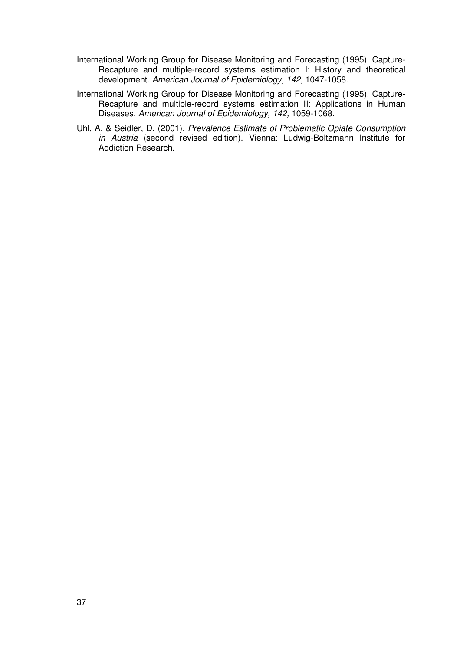- International Working Group for Disease Monitoring and Forecasting (1995). Capture-Recapture and multiple-record systems estimation I: History and theoretical development. American Journal of Epidemiology, 142, 1047-1058.
- International Working Group for Disease Monitoring and Forecasting (1995). Capture-Recapture and multiple-record systems estimation II: Applications in Human Diseases. American Journal of Epidemiology, 142, 1059-1068.
- Uhl, A. & Seidler, D. (2001). Prevalence Estimate of Problematic Opiate Consumption in Austria (second revised edition). Vienna: Ludwig-Boltzmann Institute for Addiction Research.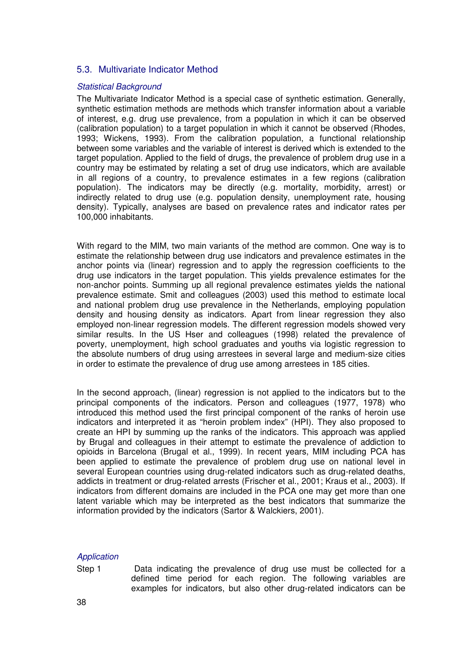## 5.3. Multivariate Indicator Method

#### Statistical Background

The Multivariate Indicator Method is a special case of synthetic estimation. Generally, synthetic estimation methods are methods which transfer information about a variable of interest, e.g. drug use prevalence, from a population in which it can be observed (calibration population) to a target population in which it cannot be observed (Rhodes, 1993; Wickens, 1993). From the calibration population, a functional relationship between some variables and the variable of interest is derived which is extended to the target population. Applied to the field of drugs, the prevalence of problem drug use in a country may be estimated by relating a set of drug use indicators, which are available in all regions of a country, to prevalence estimates in a few regions (calibration population). The indicators may be directly (e.g. mortality, morbidity, arrest) or indirectly related to drug use (e.g. population density, unemployment rate, housing density). Typically, analyses are based on prevalence rates and indicator rates per 100,000 inhabitants.

With regard to the MIM, two main variants of the method are common. One way is to estimate the relationship between drug use indicators and prevalence estimates in the anchor points via (linear) regression and to apply the regression coefficients to the drug use indicators in the target population. This yields prevalence estimates for the non-anchor points. Summing up all regional prevalence estimates yields the national prevalence estimate. Smit and colleagues (2003) used this method to estimate local and national problem drug use prevalence in the Netherlands, employing population density and housing density as indicators. Apart from linear regression they also employed non-linear regression models. The different regression models showed very similar results. In the US Hser and colleagues (1998) related the prevalence of poverty, unemployment, high school graduates and youths via logistic regression to the absolute numbers of drug using arrestees in several large and medium-size cities in order to estimate the prevalence of drug use among arrestees in 185 cities.

In the second approach, (linear) regression is not applied to the indicators but to the principal components of the indicators. Person and colleagues (1977, 1978) who introduced this method used the first principal component of the ranks of heroin use indicators and interpreted it as "heroin problem index" (HPI). They also proposed to create an HPI by summing up the ranks of the indicators. This approach was applied by Brugal and colleagues in their attempt to estimate the prevalence of addiction to opioids in Barcelona (Brugal et al., 1999). In recent years, MIM including PCA has been applied to estimate the prevalence of problem drug use on national level in several European countries using drug-related indicators such as drug-related deaths, addicts in treatment or drug-related arrests (Frischer et al., 2001; Kraus et al., 2003). If indicators from different domains are included in the PCA one may get more than one latent variable which may be interpreted as the best indicators that summarize the information provided by the indicators (Sartor & Walckiers, 2001).

## **Application**

Step 1 Data indicating the prevalence of drug use must be collected for a defined time period for each region. The following variables are examples for indicators, but also other drug-related indicators can be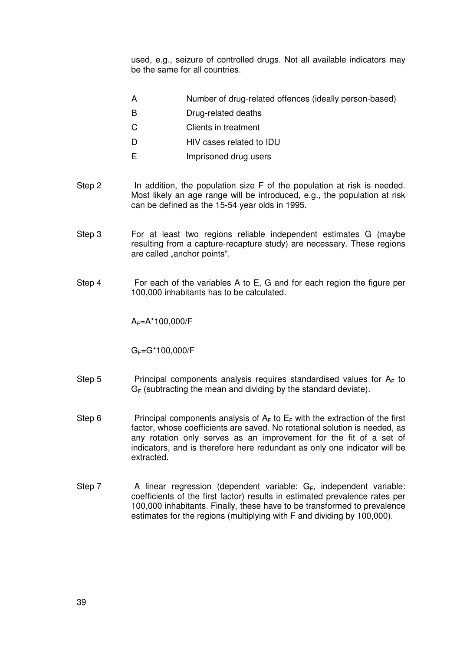used, e.g., seizure of controlled drugs. Not all available indicators may be the same for all countries.

- A Number of drug-related offences (ideally person-based)
- B Drug-related deaths
- C Clients in treatment
- D **HIV** cases related to **IDU**
- E Imprisoned drug users
- Step 2 In addition, the population size F of the population at risk is needed. Most likely an age range will be introduced, e.g., the population at risk can be defined as the 15-54 year olds in 1995.
- Step 3 For at least two regions reliable independent estimates G (maybe resulting from a capture-recapture study) are necessary. These regions are called "anchor points".
- Step 4 For each of the variables A to E, G and for each region the figure per 100,000 inhabitants has to be calculated.

 $A_F = A^* 100,000/F$ 

 $G_F = G*100,000/F$ 

- Step 5 Principal components analysis requires standardised values for  $A_F$  to  $G_F$  (subtracting the mean and dividing by the standard deviate).
- Step 6 Principal components analysis of  $A_F$  to  $E_F$  with the extraction of the first factor, whose coefficients are saved. No rotational solution is needed, as any rotation only serves as an improvement for the fit of a set of indicators, and is therefore here redundant as only one indicator will be extracted.
- Step 7  $\blacksquare$  A linear regression (dependent variable:  $G_F$ , independent variable: coefficients of the first factor) results in estimated prevalence rates per 100,000 inhabitants. Finally, these have to be transformed to prevalence estimates for the regions (multiplying with F and dividing by 100,000).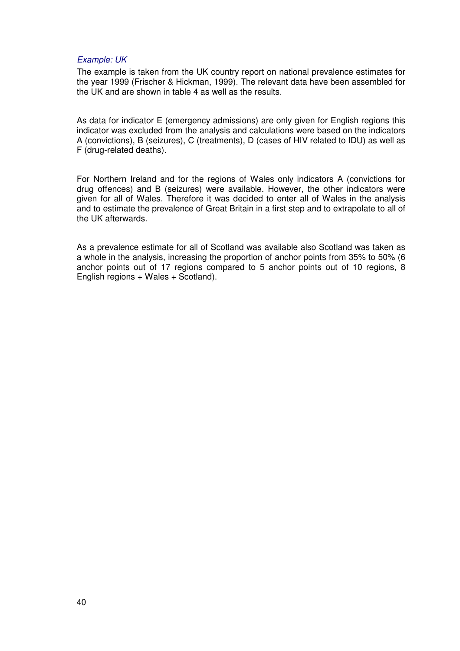#### Example: UK

The example is taken from the UK country report on national prevalence estimates for the year 1999 (Frischer & Hickman, 1999). The relevant data have been assembled for the UK and are shown in table 4 as well as the results.

As data for indicator E (emergency admissions) are only given for English regions this indicator was excluded from the analysis and calculations were based on the indicators A (convictions), B (seizures), C (treatments), D (cases of HIV related to IDU) as well as F (drug-related deaths).

For Northern Ireland and for the regions of Wales only indicators A (convictions for drug offences) and B (seizures) were available. However, the other indicators were given for all of Wales. Therefore it was decided to enter all of Wales in the analysis and to estimate the prevalence of Great Britain in a first step and to extrapolate to all of the UK afterwards.

As a prevalence estimate for all of Scotland was available also Scotland was taken as a whole in the analysis, increasing the proportion of anchor points from 35% to 50% (6 anchor points out of 17 regions compared to 5 anchor points out of 10 regions, 8 English regions + Wales + Scotland).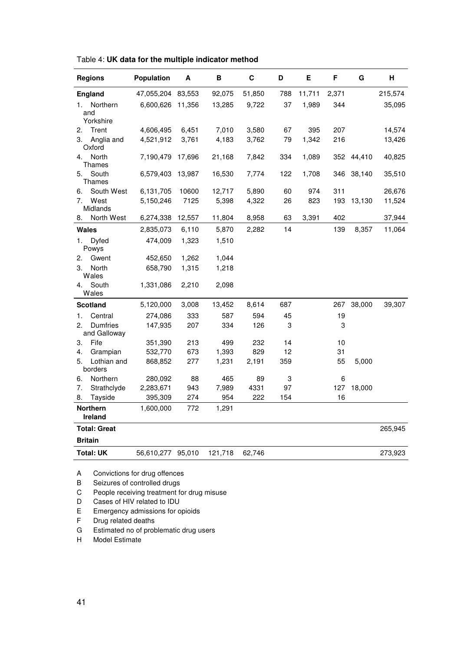| <b>Regions</b>                        | Population                                                    | Α      | В       | C      | D   | Е      | F     | G      | н       |
|---------------------------------------|---------------------------------------------------------------|--------|---------|--------|-----|--------|-------|--------|---------|
| <b>England</b>                        | 47,055,204                                                    | 83,553 | 92,075  | 51,850 | 788 | 11,711 | 2,371 |        | 215,574 |
| Northern<br>1.                        | 6,600,626                                                     | 11,356 | 13,285  | 9,722  | 37  | 1,989  | 344   |        | 35,095  |
| and<br>Yorkshire                      |                                                               |        |         |        |     |        |       |        |         |
| Trent<br>2.                           | 4,606,495                                                     | 6,451  | 7,010   | 3,580  | 67  | 395    | 207   |        | 14,574  |
| Anglia and<br>3.<br>Oxford            | 4,521,912                                                     | 3,761  | 4,183   | 3,762  | 79  | 1,342  | 216   |        | 13,426  |
| North<br>4.<br><b>Thames</b>          | 7,190,479                                                     | 17,696 | 21,168  | 7,842  | 334 | 1,089  | 352   | 44,410 | 40,825  |
| South<br>5.<br>Thames                 | 6,579,403                                                     | 13,987 | 16,530  | 7,774  | 122 | 1,708  | 346   | 38,140 | 35,510  |
| South West<br>6.                      | 6,131,705                                                     | 10600  | 12,717  | 5,890  | 60  | 974    | 311   |        | 26,676  |
| West<br>7.<br>Midlands                | 5,150,246                                                     | 7125   | 5,398   | 4,322  | 26  | 823    | 193   | 13,130 | 11,524  |
| North West<br>8.                      | 6,274,338                                                     | 12,557 | 11,804  | 8,958  | 63  | 3,391  | 402   |        | 37,944  |
| <b>Wales</b>                          | 2,835,073                                                     | 6,110  | 5,870   | 2,282  | 14  |        | 139   | 8,357  | 11,064  |
| 1.<br>Dyfed<br>Powys                  | 474,009                                                       | 1,323  | 1,510   |        |     |        |       |        |         |
| Gwent<br>2.                           | 452,650                                                       | 1,262  | 1,044   |        |     |        |       |        |         |
| North<br>3.<br>Wales                  | 658,790                                                       | 1,315  | 1,218   |        |     |        |       |        |         |
| South<br>4.<br>Wales                  | 1,331,086                                                     | 2,210  | 2,098   |        |     |        |       |        |         |
| <b>Scotland</b>                       | 5,120,000                                                     | 3,008  | 13,452  | 8,614  | 687 |        | 267   | 38,000 | 39,307  |
| Central<br>1.                         | 274,086                                                       | 333    | 587     | 594    | 45  |        | 19    |        |         |
| <b>Dumfries</b><br>2.<br>and Galloway | 147,935                                                       | 207    | 334     | 126    | 3   |        | 3     |        |         |
| Fife<br>3.                            | 351,390                                                       | 213    | 499     | 232    | 14  |        | 10    |        |         |
| 4.<br>Grampian                        | 532,770                                                       | 673    | 1,393   | 829    | 12  |        | 31    |        |         |
| Lothian and<br>5.<br>borders          | 868,852                                                       | 277    | 1,231   | 2,191  | 359 |        | 55    | 5,000  |         |
| Northern<br>6.                        | 280,092                                                       | 88     | 465     | 89     | 3   |        | 6     |        |         |
| Strathclyde<br>7.                     | 2,283,671                                                     | 943    | 7,989   | 4331   | 97  |        | 127   | 18,000 |         |
| 8.<br>Tayside                         | 395,309                                                       | 274    | 954     | 222    | 154 |        | 16    |        |         |
| <b>Northern</b><br>Ireland            | 1,600,000                                                     | 772    | 1,291   |        |     |        |       |        |         |
| <b>Total: Great</b>                   |                                                               |        |         |        |     |        |       |        | 265,945 |
| <b>Britain</b>                        |                                                               |        |         |        |     |        |       |        |         |
| <b>Total: UK</b>                      | 56,610,277                                                    | 95,010 | 121,718 | 62,746 |     |        |       |        | 273,923 |
| Α<br>В                                | Convictions for drug offences<br>Seizures of controlled drugs |        |         |        |     |        |       |        |         |

Table 4: **UK data for the multiple indicator method** 

C People receiving treatment for drug misuse

D Cases of HIV related to IDU

E Emergency admissions for opioids

F Drug related deaths

G Estimated no of problematic drug users<br>H Model Estimate

Model Estimate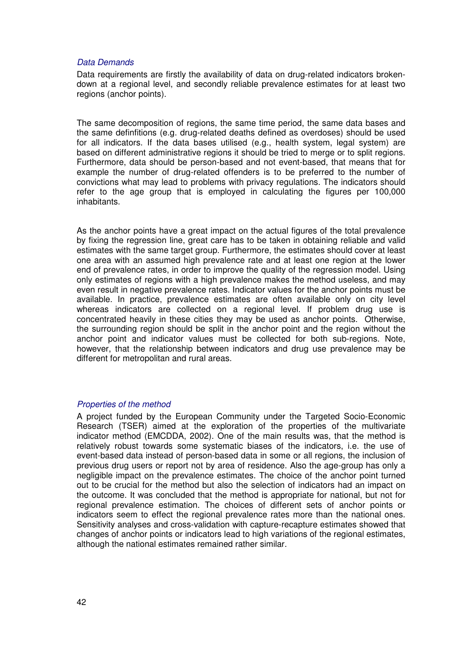#### Data Demands

Data requirements are firstly the availability of data on drug-related indicators brokendown at a regional level, and secondly reliable prevalence estimates for at least two regions (anchor points).

The same decomposition of regions, the same time period, the same data bases and the same definfitions (e.g. drug-related deaths defined as overdoses) should be used for all indicators. If the data bases utilised (e.g., health system, legal system) are based on different administrative regions it should be tried to merge or to split regions. Furthermore, data should be person-based and not event-based, that means that for example the number of drug-related offenders is to be preferred to the number of convictions what may lead to problems with privacy regulations. The indicators should refer to the age group that is employed in calculating the figures per 100,000 inhabitants.

As the anchor points have a great impact on the actual figures of the total prevalence by fixing the regression line, great care has to be taken in obtaining reliable and valid estimates with the same target group. Furthermore, the estimates should cover at least one area with an assumed high prevalence rate and at least one region at the lower end of prevalence rates, in order to improve the quality of the regression model. Using only estimates of regions with a high prevalence makes the method useless, and may even result in negative prevalence rates. Indicator values for the anchor points must be available. In practice, prevalence estimates are often available only on city level whereas indicators are collected on a regional level. If problem drug use is concentrated heavily in these cities they may be used as anchor points. Otherwise, the surrounding region should be split in the anchor point and the region without the anchor point and indicator values must be collected for both sub-regions. Note, however, that the relationship between indicators and drug use prevalence may be different for metropolitan and rural areas.

#### Properties of the method

A project funded by the European Community under the Targeted Socio-Economic Research (TSER) aimed at the exploration of the properties of the multivariate indicator method (EMCDDA, 2002). One of the main results was, that the method is relatively robust towards some systematic biases of the indicators, i.e. the use of event-based data instead of person-based data in some or all regions, the inclusion of previous drug users or report not by area of residence. Also the age-group has only a negligible impact on the prevalence estimates. The choice of the anchor point turned out to be crucial for the method but also the selection of indicators had an impact on the outcome. It was concluded that the method is appropriate for national, but not for regional prevalence estimation. The choices of different sets of anchor points or indicators seem to effect the regional prevalence rates more than the national ones. Sensitivity analyses and cross-validation with capture-recapture estimates showed that changes of anchor points or indicators lead to high variations of the regional estimates, although the national estimates remained rather similar.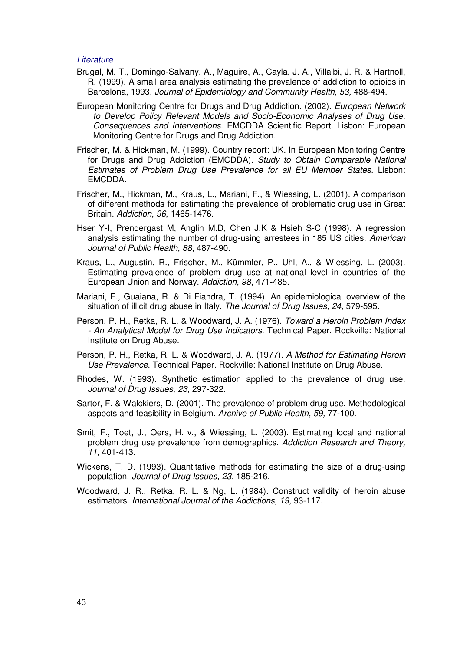#### **Literature**

- Brugal, M. T., Domingo-Salvany, A., Maguire, A., Cayla, J. A., Villalbi, J. R. & Hartnoll, R. (1999). A small area analysis estimating the prevalence of addiction to opioids in Barcelona, 1993. Journal of Epidemiology and Community Health, 53, 488-494.
- European Monitoring Centre for Drugs and Drug Addiction. (2002). European Network to Develop Policy Relevant Models and Socio-Economic Analyses of Drug Use, Consequences and Interventions. EMCDDA Scientific Report. Lisbon: European Monitoring Centre for Drugs and Drug Addiction.
- Frischer, M. & Hickman, M. (1999). Country report: UK. In European Monitoring Centre for Drugs and Drug Addiction (EMCDDA). Study to Obtain Comparable National Estimates of Problem Drug Use Prevalence for all EU Member States. Lisbon: EMCDDA.
- Frischer, M., Hickman, M., Kraus, L., Mariani, F., & Wiessing, L. (2001). A comparison of different methods for estimating the prevalence of problematic drug use in Great Britain. Addiction, 96, 1465-1476.
- Hser Y-I, Prendergast M, Anglin M.D, Chen J.K & Hsieh S-C (1998). A regression analysis estimating the number of drug-using arrestees in 185 US cities. American Journal of Public Health, 88, 487-490.
- Kraus, L., Augustin, R., Frischer, M., Kümmler, P., Uhl, A., & Wiessing, L. (2003). Estimating prevalence of problem drug use at national level in countries of the European Union and Norway. Addiction, 98, 471-485.
- Mariani, F., Guaiana, R. & Di Fiandra, T. (1994). An epidemiological overview of the situation of illicit drug abuse in Italy. The Journal of Drug Issues, 24, 579-595.
- Person, P. H., Retka, R. L. & Woodward, J. A. (1976). Toward a Heroin Problem Index - An Analytical Model for Drug Use Indicators. Technical Paper. Rockville: National Institute on Drug Abuse.
- Person, P. H., Retka, R. L. & Woodward, J. A. (1977). A Method for Estimating Heroin Use Prevalence. Technical Paper. Rockville: National Institute on Drug Abuse.
- Rhodes, W. (1993). Synthetic estimation applied to the prevalence of drug use. Journal of Drug Issues, 23, 297-322.
- Sartor, F. & Walckiers, D. (2001). The prevalence of problem drug use. Methodological aspects and feasibility in Belgium. Archive of Public Health, 59, 77-100.
- Smit, F., Toet, J., Oers, H. v., & Wiessing, L. (2003). Estimating local and national problem drug use prevalence from demographics. Addiction Research and Theory, 11, 401-413.
- Wickens, T. D. (1993). Quantitative methods for estimating the size of a drug-using population. Journal of Drug Issues, 23, 185-216.
- Woodward, J. R., Retka, R. L. & Ng, L. (1984). Construct validity of heroin abuse estimators. International Journal of the Addictions, 19, 93-117.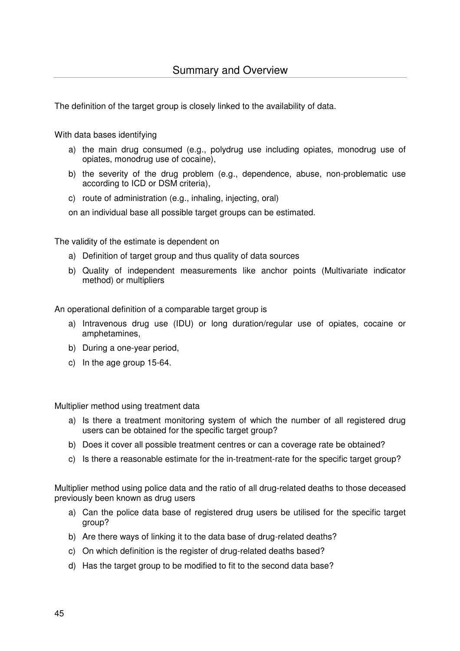The definition of the target group is closely linked to the availability of data.

With data bases identifying

- a) the main drug consumed (e.g., polydrug use including opiates, monodrug use of opiates, monodrug use of cocaine),
- b) the severity of the drug problem (e.g., dependence, abuse, non-problematic use according to ICD or DSM criteria),
- c) route of administration (e.g., inhaling, injecting, oral)

on an individual base all possible target groups can be estimated.

The validity of the estimate is dependent on

- a) Definition of target group and thus quality of data sources
- b) Quality of independent measurements like anchor points (Multivariate indicator method) or multipliers

An operational definition of a comparable target group is

- a) Intravenous drug use (IDU) or long duration/regular use of opiates, cocaine or amphetamines,
- b) During a one-year period,
- c) In the age group 15-64.

Multiplier method using treatment data

- a) Is there a treatment monitoring system of which the number of all registered drug users can be obtained for the specific target group?
- b) Does it cover all possible treatment centres or can a coverage rate be obtained?
- c) Is there a reasonable estimate for the in-treatment-rate for the specific target group?

Multiplier method using police data and the ratio of all drug-related deaths to those deceased previously been known as drug users

- a) Can the police data base of registered drug users be utilised for the specific target group?
- b) Are there ways of linking it to the data base of drug-related deaths?
- c) On which definition is the register of drug-related deaths based?
- d) Has the target group to be modified to fit to the second data base?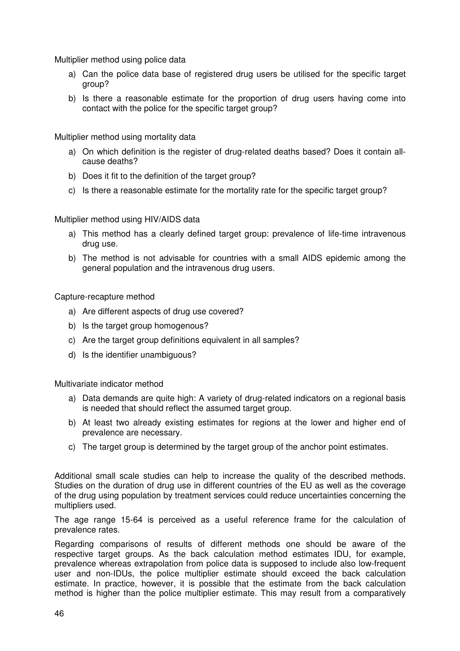Multiplier method using police data

- a) Can the police data base of registered drug users be utilised for the specific target group?
- b) Is there a reasonable estimate for the proportion of drug users having come into contact with the police for the specific target group?

Multiplier method using mortality data

- a) On which definition is the register of drug-related deaths based? Does it contain allcause deaths?
- b) Does it fit to the definition of the target group?
- c) Is there a reasonable estimate for the mortality rate for the specific target group?

Multiplier method using HIV/AIDS data

- a) This method has a clearly defined target group: prevalence of life-time intravenous drug use.
- b) The method is not advisable for countries with a small AIDS epidemic among the general population and the intravenous drug users.

Capture-recapture method

- a) Are different aspects of drug use covered?
- b) Is the target group homogenous?
- c) Are the target group definitions equivalent in all samples?
- d) Is the identifier unambiguous?

Multivariate indicator method

- a) Data demands are quite high: A variety of drug-related indicators on a regional basis is needed that should reflect the assumed target group.
- b) At least two already existing estimates for regions at the lower and higher end of prevalence are necessary.
- c) The target group is determined by the target group of the anchor point estimates.

Additional small scale studies can help to increase the quality of the described methods. Studies on the duration of drug use in different countries of the EU as well as the coverage of the drug using population by treatment services could reduce uncertainties concerning the multipliers used.

The age range 15-64 is perceived as a useful reference frame for the calculation of prevalence rates.

Regarding comparisons of results of different methods one should be aware of the respective target groups. As the back calculation method estimates IDU, for example, prevalence whereas extrapolation from police data is supposed to include also low-frequent user and non-IDUs, the police multiplier estimate should exceed the back calculation estimate. In practice, however, it is possible that the estimate from the back calculation method is higher than the police multiplier estimate. This may result from a comparatively